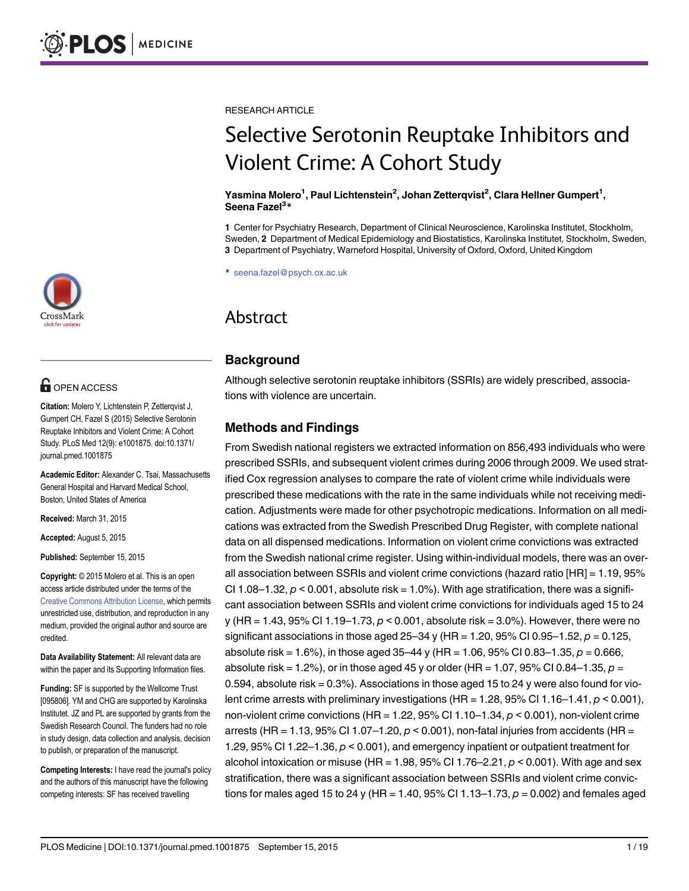CrossMark lick for update

# **G** OPEN ACCESS

Citation: Molero Y, Lichtenstein P, Zetterqvist J, Gumpert CH, Fazel S (2015) Selective Serotonin Reuptake Inhibitors and Violent Crime: A Cohort Study. PLoS Med 12(9): e1001875. doi:10.1371/ journal.pmed.1001875

Academic Editor: Alexander C. Tsai, Massachusetts General Hospital and Harvard Medical School, Boston, United States of America

Received: March 31, 2015

Accepted: August 5, 2015

Published: September 15, 2015

Copyright: © 2015 Molero et al. This is an open access article distributed under the terms of the [Creative Commons Attribution License,](http://creativecommons.org/licenses/by/4.0/) which permits unrestricted use, distribution, and reproduction in any medium, provided the original author and source are credited.

Data Availability Statement: All relevant data are within the paper and its Supporting Information files.

Funding: SF is supported by the Wellcome Trust [095806]. YM and CHG are supported by Karolinska Institutet. JZ and PL are supported by grants from the Swedish Research Council. The funders had no role in study design, data collection and analysis, decision to publish, or preparation of the manuscript.

Competing Interests: I have read the journal's policy and the authors of this manuscript have the following competing interests: SF has received travelling

RESEARCH ARTICLE

# Selective Serotonin Reuptake Inhibitors and Violent Crime: A Cohort Study

#### Yasmina Molero<sup>1</sup>, Paul Lichtenstein<sup>2</sup>, Johan Zetterqvist<sup>2</sup>, Clara Hellner Gumpert<sup>1</sup>, Seena Fazel<sup>3</sup>\*

1 Center for Psychiatry Research, Department of Clinical Neuroscience, Karolinska Institutet, Stockholm, Sweden, 2 Department of Medical Epidemiology and Biostatistics, Karolinska Institutet, Stockholm, Sweden, 3 Department of Psychiatry, Warneford Hospital, University of Oxford, Oxford, United Kingdom

\* seena.fazel@psych.ox.ac.uk

# Abstract

# **Background**

Although selective serotonin reuptake inhibitors (SSRIs) are widely prescribed, associations with violence are uncertain.

# Methods and Findings

From Swedish national registers we extracted information on 856,493 individuals who were prescribed SSRIs, and subsequent violent crimes during 2006 through 2009. We used stratified Cox regression analyses to compare the rate of violent crime while individuals were prescribed these medications with the rate in the same individuals while not receiving medication. Adjustments were made for other psychotropic medications. Information on all medications was extracted from the Swedish Prescribed Drug Register, with complete national data on all dispensed medications. Information on violent crime convictions was extracted from the Swedish national crime register. Using within-individual models, there was an overall association between SSRIs and violent crime convictions (hazard ratio [HR] = 1.19, 95% CI 1.08–1.32,  $p < 0.001$ , absolute risk = 1.0%). With age stratification, there was a significant association between SSRIs and violent crime convictions for individuals aged 15 to 24 y (HR = 1.43, 95% CI 1.19–1.73,  $p < 0.001$ , absolute risk = 3.0%). However, there were no significant associations in those aged 25–34 y (HR = 1.20, 95% CI 0.95–1.52,  $p = 0.125$ , absolute risk = 1.6%), in those aged  $35-44$  y (HR = 1.06, 95% CI 0.83-1.35,  $p = 0.666$ , absolute risk = 1.2%), or in those aged 45 y or older (HR = 1.07, 95% CI 0.84–1.35,  $p =$ 0.594, absolute risk  $= 0.3\%$ ). Associations in those aged 15 to 24 y were also found for violent crime arrests with preliminary investigations (HR = 1.28, 95% CI 1.16–1.41,  $p < 0.001$ ), non-violent crime convictions (HR = 1.22, 95% CI 1.10–1.34,  $p < 0.001$ ), non-violent crime arrests (HR = 1.13, 95% CI 1.07–1.20,  $p < 0.001$ ), non-fatal injuries from accidents (HR = 1.29, 95% CI 1.22–1.36,  $p < 0.001$ ), and emergency inpatient or outpatient treatment for alcohol intoxication or misuse (HR =  $1.98$ , 95% CI 1.76–2.21,  $p < 0.001$ ). With age and sex stratification, there was a significant association between SSRIs and violent crime convictions for males aged 15 to 24 y (HR = 1.40, 95% CI 1.13–1.73,  $p = 0.002$ ) and females aged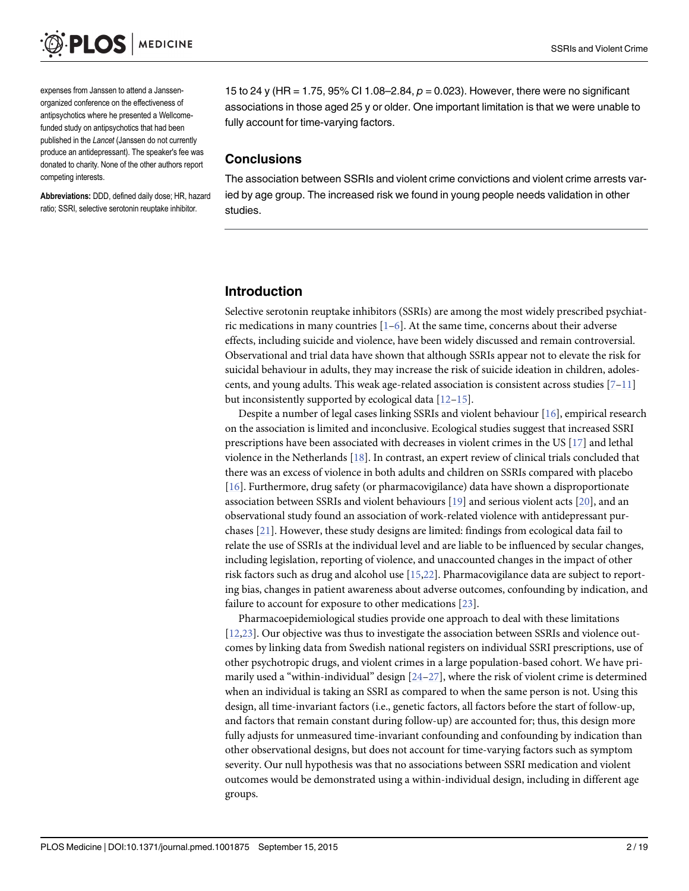<span id="page-1-0"></span>expenses from Janssen to attend a Janssenorganized conference on the effectiveness of antipsychotics where he presented a Wellcomefunded study on antipsychotics that had been published in the Lancet (Janssen do not currently produce an antidepressant). The speaker's fee was donated to charity. None of the other authors report competing interests.

Abbreviations: DDD, defined daily dose; HR, hazard ratio; SSRI, selective serotonin reuptake inhibitor.

15 to 24 y (HR = 1.75, 95% CI 1.08–2.84, p = 0.023). However, there were no significant associations in those aged 25 y or older. One important limitation is that we were unable to fully account for time-varying factors.

#### **Conclusions**

The association between SSRIs and violent crime convictions and violent crime arrests varied by age group. The increased risk we found in young people needs validation in other studies.

#### Introduction

Selective serotonin reuptake inhibitors (SSRIs) are among the most widely prescribed psychiatric medications in many countries  $[1-6]$  $[1-6]$  $[1-6]$  $[1-6]$  $[1-6]$ . At the same time, concerns about their adverse effects, including suicide and violence, have been widely discussed and remain controversial. Observational and trial data have shown that although SSRIs appear not to elevate the risk for suicidal behaviour in adults, they may increase the risk of suicide ideation in children, adolescents, and young adults. This weak age-related association is consistent across studies  $[7-11]$  $[7-11]$  $[7-11]$  $[7-11]$  $[7-11]$ but inconsistently supported by ecological data  $[12-15]$  $[12-15]$  $[12-15]$ .

Despite a number of legal cases linking SSRIs and violent behaviour [[16](#page-14-0)], empirical research on the association is limited and inconclusive. Ecological studies suggest that increased SSRI prescriptions have been associated with decreases in violent crimes in the US [[17](#page-14-0)] and lethal violence in the Netherlands [\[18\]](#page-14-0). In contrast, an expert review of clinical trials concluded that there was an excess of violence in both adults and children on SSRIs compared with placebo [\[16](#page-14-0)]. Furthermore, drug safety (or pharmacovigilance) data have shown a disproportionate association between SSRIs and violent behaviours [[19](#page-14-0)] and serious violent acts [[20](#page-14-0)], and an observational study found an association of work-related violence with antidepressant purchases [[21\]](#page-14-0). However, these study designs are limited: findings from ecological data fail to relate the use of SSRIs at the individual level and are liable to be influenced by secular changes, including legislation, reporting of violence, and unaccounted changes in the impact of other risk factors such as drug and alcohol use [[15,22\]](#page-14-0). Pharmacovigilance data are subject to reporting bias, changes in patient awareness about adverse outcomes, confounding by indication, and failure to account for exposure to other medications [[23](#page-14-0)].

Pharmacoepidemiological studies provide one approach to deal with these limitations [\[12,23\]](#page-14-0). Our objective was thus to investigate the association between SSRIs and violence outcomes by linking data from Swedish national registers on individual SSRI prescriptions, use of other psychotropic drugs, and violent crimes in a large population-based cohort. We have primarily used a "within-individual" design  $[24-27]$  $[24-27]$  $[24-27]$  $[24-27]$ , where the risk of violent crime is determined when an individual is taking an SSRI as compared to when the same person is not. Using this design, all time-invariant factors (i.e., genetic factors, all factors before the start of follow-up, and factors that remain constant during follow-up) are accounted for; thus, this design more fully adjusts for unmeasured time-invariant confounding and confounding by indication than other observational designs, but does not account for time-varying factors such as symptom severity. Our null hypothesis was that no associations between SSRI medication and violent outcomes would be demonstrated using a within-individual design, including in different age groups.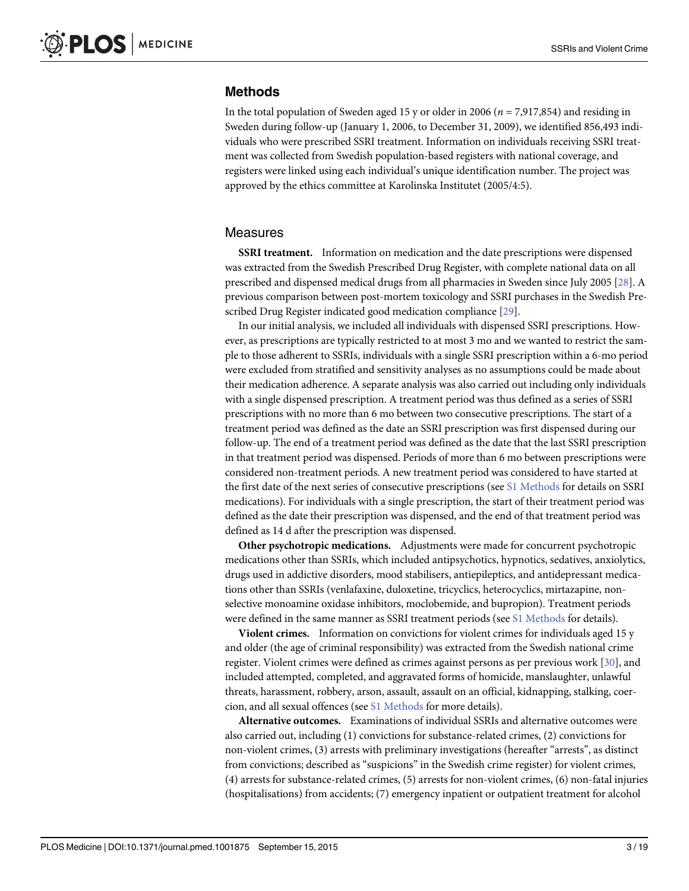# <span id="page-2-0"></span>Methods

In the total population of Sweden aged 15 y or older in 2006 ( $n = 7,917,854$ ) and residing in Sweden during follow-up (January 1, 2006, to December 31, 2009), we identified 856,493 individuals who were prescribed SSRI treatment. Information on individuals receiving SSRI treatment was collected from Swedish population-based registers with national coverage, and registers were linked using each individual's unique identification number. The project was approved by the ethics committee at Karolinska Institutet (2005/4:5).

#### Measures

SSRI treatment. Information on medication and the date prescriptions were dispensed was extracted from the Swedish Prescribed Drug Register, with complete national data on all prescribed and dispensed medical drugs from all pharmacies in Sweden since July 2005 [\[28\]](#page-15-0). A previous comparison between post-mortem toxicology and SSRI purchases in the Swedish Prescribed Drug Register indicated good medication compliance [\[29\]](#page-15-0).

In our initial analysis, we included all individuals with dispensed SSRI prescriptions. However, as prescriptions are typically restricted to at most 3 mo and we wanted to restrict the sample to those adherent to SSRIs, individuals with a single SSRI prescription within a 6-mo period were excluded from stratified and sensitivity analyses as no assumptions could be made about their medication adherence. A separate analysis was also carried out including only individuals with a single dispensed prescription. A treatment period was thus defined as a series of SSRI prescriptions with no more than 6 mo between two consecutive prescriptions. The start of a treatment period was defined as the date an SSRI prescription was first dispensed during our follow-up. The end of a treatment period was defined as the date that the last SSRI prescription in that treatment period was dispensed. Periods of more than 6 mo between prescriptions were considered non-treatment periods. A new treatment period was considered to have started at the first date of the next series of consecutive prescriptions (see [S1 Methods](#page-13-0) for details on SSRI medications). For individuals with a single prescription, the start of their treatment period was defined as the date their prescription was dispensed, and the end of that treatment period was defined as 14 d after the prescription was dispensed.

Other psychotropic medications. Adjustments were made for concurrent psychotropic medications other than SSRIs, which included antipsychotics, hypnotics, sedatives, anxiolytics, drugs used in addictive disorders, mood stabilisers, antiepileptics, and antidepressant medications other than SSRIs (venlafaxine, duloxetine, tricyclics, heterocyclics, mirtazapine, nonselective monoamine oxidase inhibitors, moclobemide, and bupropion). Treatment periods were defined in the same manner as SSRI treatment periods (see [S1 Methods](#page-13-0) for details).

Violent crimes. Information on convictions for violent crimes for individuals aged 15 y and older (the age of criminal responsibility) was extracted from the Swedish national crime register. Violent crimes were defined as crimes against persons as per previous work [\[30\]](#page-15-0), and included attempted, completed, and aggravated forms of homicide, manslaughter, unlawful threats, harassment, robbery, arson, assault, assault on an official, kidnapping, stalking, coercion, and all sexual offences (see [S1 Methods](#page-13-0) for more details).

Alternative outcomes. Examinations of individual SSRIs and alternative outcomes were also carried out, including (1) convictions for substance-related crimes, (2) convictions for non-violent crimes, (3) arrests with preliminary investigations (hereafter "arrests", as distinct from convictions; described as "suspicions" in the Swedish crime register) for violent crimes, (4) arrests for substance-related crimes, (5) arrests for non-violent crimes, (6) non-fatal injuries (hospitalisations) from accidents; (7) emergency inpatient or outpatient treatment for alcohol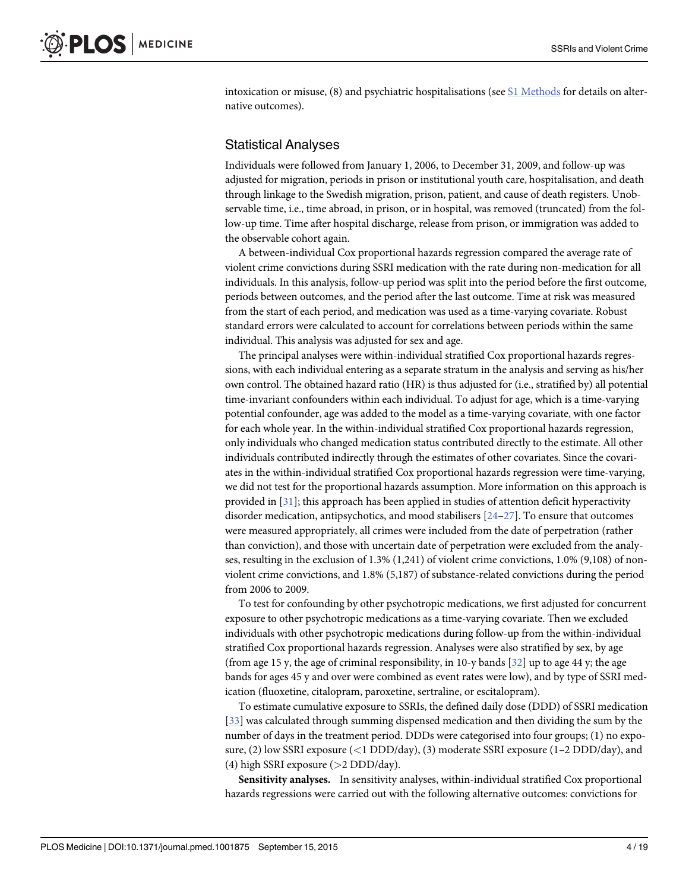<span id="page-3-0"></span>intoxication or misuse,  $(8)$  and psychiatric hospitalisations (see  $S1$  Methods for details on alternative outcomes).

## Statistical Analyses

Individuals were followed from January 1, 2006, to December 31, 2009, and follow-up was adjusted for migration, periods in prison or institutional youth care, hospitalisation, and death through linkage to the Swedish migration, prison, patient, and cause of death registers. Unobservable time, i.e., time abroad, in prison, or in hospital, was removed (truncated) from the follow-up time. Time after hospital discharge, release from prison, or immigration was added to the observable cohort again.

A between-individual Cox proportional hazards regression compared the average rate of violent crime convictions during SSRI medication with the rate during non-medication for all individuals. In this analysis, follow-up period was split into the period before the first outcome, periods between outcomes, and the period after the last outcome. Time at risk was measured from the start of each period, and medication was used as a time-varying covariate. Robust standard errors were calculated to account for correlations between periods within the same individual. This analysis was adjusted for sex and age.

The principal analyses were within-individual stratified Cox proportional hazards regressions, with each individual entering as a separate stratum in the analysis and serving as his/her own control. The obtained hazard ratio (HR) is thus adjusted for (i.e., stratified by) all potential time-invariant confounders within each individual. To adjust for age, which is a time-varying potential confounder, age was added to the model as a time-varying covariate, with one factor for each whole year. In the within-individual stratified Cox proportional hazards regression, only individuals who changed medication status contributed directly to the estimate. All other individuals contributed indirectly through the estimates of other covariates. Since the covariates in the within-individual stratified Cox proportional hazards regression were time-varying, we did not test for the proportional hazards assumption. More information on this approach is provided in [[31](#page-15-0)]; this approach has been applied in studies of attention deficit hyperactivity disorder medication, antipsychotics, and mood stabilisers [[24](#page-14-0)–[27](#page-14-0)]. To ensure that outcomes were measured appropriately, all crimes were included from the date of perpetration (rather than conviction), and those with uncertain date of perpetration were excluded from the analyses, resulting in the exclusion of 1.3% (1,241) of violent crime convictions, 1.0% (9,108) of nonviolent crime convictions, and 1.8% (5,187) of substance-related convictions during the period from 2006 to 2009.

To test for confounding by other psychotropic medications, we first adjusted for concurrent exposure to other psychotropic medications as a time-varying covariate. Then we excluded individuals with other psychotropic medications during follow-up from the within-individual stratified Cox proportional hazards regression. Analyses were also stratified by sex, by age (from age 15 y, the age of criminal responsibility, in 10-y bands  $[32]$  $[32]$  $[32]$  up to age 44 y; the age bands for ages 45 y and over were combined as event rates were low), and by type of SSRI medication (fluoxetine, citalopram, paroxetine, sertraline, or escitalopram).

To estimate cumulative exposure to SSRIs, the defined daily dose (DDD) of SSRI medication [\[33](#page-15-0)] was calculated through summing dispensed medication and then dividing the sum by the number of days in the treatment period. DDDs were categorised into four groups; (1) no exposure, (2) low SSRI exposure (<1 DDD/day), (3) moderate SSRI exposure (1–2 DDD/day), and (4) high SSRI exposure  $(>2$  DDD/day).

Sensitivity analyses. In sensitivity analyses, within-individual stratified Cox proportional hazards regressions were carried out with the following alternative outcomes: convictions for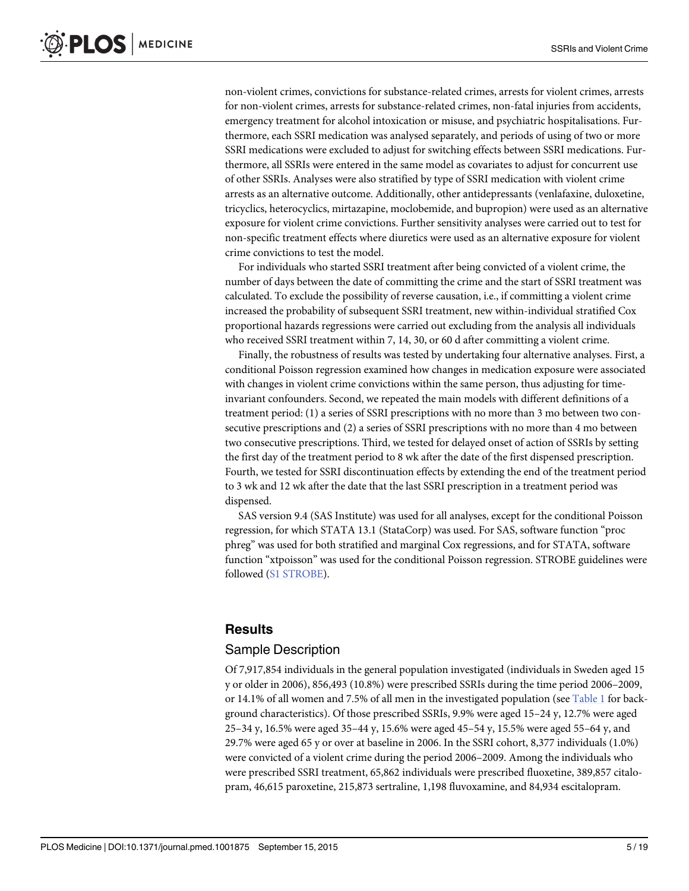<span id="page-4-0"></span>non-violent crimes, convictions for substance-related crimes, arrests for violent crimes, arrests for non-violent crimes, arrests for substance-related crimes, non-fatal injuries from accidents, emergency treatment for alcohol intoxication or misuse, and psychiatric hospitalisations. Furthermore, each SSRI medication was analysed separately, and periods of using of two or more SSRI medications were excluded to adjust for switching effects between SSRI medications. Furthermore, all SSRIs were entered in the same model as covariates to adjust for concurrent use of other SSRIs. Analyses were also stratified by type of SSRI medication with violent crime arrests as an alternative outcome. Additionally, other antidepressants (venlafaxine, duloxetine, tricyclics, heterocyclics, mirtazapine, moclobemide, and bupropion) were used as an alternative exposure for violent crime convictions. Further sensitivity analyses were carried out to test for non-specific treatment effects where diuretics were used as an alternative exposure for violent crime convictions to test the model.

For individuals who started SSRI treatment after being convicted of a violent crime, the number of days between the date of committing the crime and the start of SSRI treatment was calculated. To exclude the possibility of reverse causation, i.e., if committing a violent crime increased the probability of subsequent SSRI treatment, new within-individual stratified Cox proportional hazards regressions were carried out excluding from the analysis all individuals who received SSRI treatment within 7, 14, 30, or 60 d after committing a violent crime.

Finally, the robustness of results was tested by undertaking four alternative analyses. First, a conditional Poisson regression examined how changes in medication exposure were associated with changes in violent crime convictions within the same person, thus adjusting for timeinvariant confounders. Second, we repeated the main models with different definitions of a treatment period: (1) a series of SSRI prescriptions with no more than 3 mo between two consecutive prescriptions and (2) a series of SSRI prescriptions with no more than 4 mo between two consecutive prescriptions. Third, we tested for delayed onset of action of SSRIs by setting the first day of the treatment period to 8 wk after the date of the first dispensed prescription. Fourth, we tested for SSRI discontinuation effects by extending the end of the treatment period to 3 wk and 12 wk after the date that the last SSRI prescription in a treatment period was dispensed.

SAS version 9.4 (SAS Institute) was used for all analyses, except for the conditional Poisson regression, for which STATA 13.1 (StataCorp) was used. For SAS, software function "proc phreg" was used for both stratified and marginal Cox regressions, and for STATA, software function "xtpoisson" was used for the conditional Poisson regression. STROBE guidelines were followed ([S1 STROBE](#page-13-0)).

# **Results**

#### Sample Description

Of 7,917,854 individuals in the general population investigated (individuals in Sweden aged 15 y or older in 2006), 856,493 (10.8%) were prescribed SSRIs during the time period 2006–2009, or 14.1% of all women and 7.5% of all men in the investigated population (see [Table 1](#page-5-0) for background characteristics). Of those prescribed SSRIs, 9.9% were aged 15–24 y, 12.7% were aged 25–34 y, 16.5% were aged 35–44 y, 15.6% were aged 45–54 y, 15.5% were aged 55–64 y, and 29.7% were aged 65 y or over at baseline in 2006. In the SSRI cohort, 8,377 individuals (1.0%) were convicted of a violent crime during the period 2006–2009. Among the individuals who were prescribed SSRI treatment, 65,862 individuals were prescribed fluoxetine, 389,857 citalopram, 46,615 paroxetine, 215,873 sertraline, 1,198 fluvoxamine, and 84,934 escitalopram.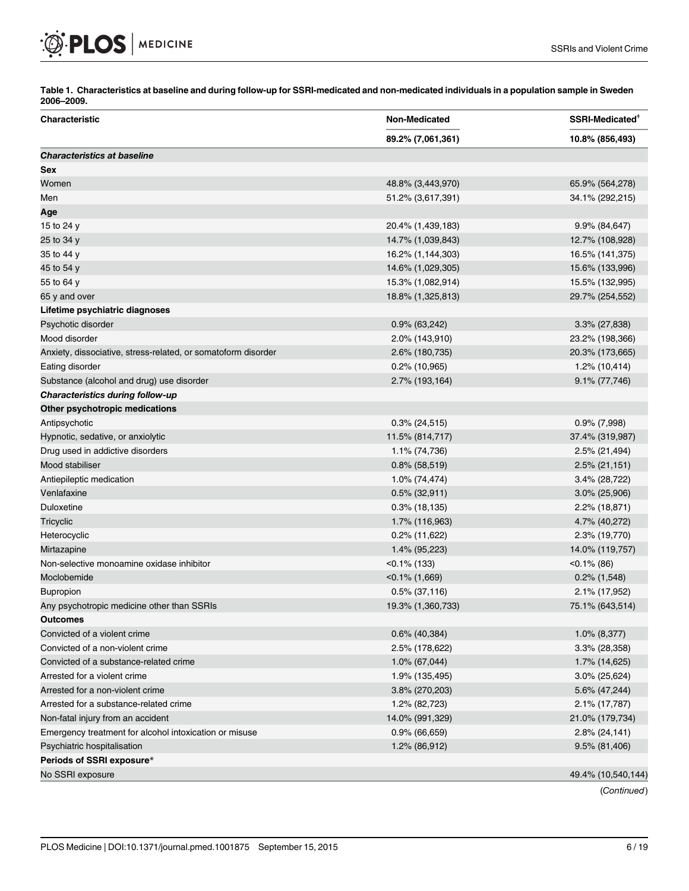[Table 1.](#page-4-0) Characteristics at baseline and during follow-up for SSRI-medicated and non-medicated individuals in a population sample in Sweden 2006–2009.

<span id="page-5-0"></span>DI MEDICINE

| Characteristic                                                | <b>Non-Medicated</b> | SSRI-Medicated <sup>+</sup> |  |
|---------------------------------------------------------------|----------------------|-----------------------------|--|
|                                                               | 89.2% (7,061,361)    | 10.8% (856,493)             |  |
| <b>Characteristics at baseline</b>                            |                      |                             |  |
| Sex                                                           |                      |                             |  |
| Women                                                         | 48.8% (3,443,970)    | 65.9% (564,278)             |  |
| Men                                                           | 51.2% (3,617,391)    | 34.1% (292,215)             |  |
| Age                                                           |                      |                             |  |
| 15 to 24 y                                                    | 20.4% (1,439,183)    | 9.9% (84,647)               |  |
| 25 to 34 y                                                    | 14.7% (1,039,843)    | 12.7% (108,928)             |  |
| 35 to 44 y                                                    | 16.2% (1,144,303)    | 16.5% (141,375)             |  |
| 45 to 54 y                                                    | 14.6% (1,029,305)    | 15.6% (133,996)             |  |
| 55 to 64 y                                                    | 15.3% (1,082,914)    | 15.5% (132,995)             |  |
| 65 y and over                                                 | 18.8% (1,325,813)    | 29.7% (254,552)             |  |
| Lifetime psychiatric diagnoses                                |                      |                             |  |
| Psychotic disorder                                            | 0.9% (63,242)        | 3.3% (27,838)               |  |
| Mood disorder                                                 | 2.0% (143,910)       | 23.2% (198,366)             |  |
| Anxiety, dissociative, stress-related, or somatoform disorder | 2.6% (180,735)       | 20.3% (173,665)             |  |
| Eating disorder                                               | $0.2\%$ (10,965)     | 1.2% (10,414)               |  |
| Substance (alcohol and drug) use disorder                     | 2.7% (193,164)       | 9.1% (77,746)               |  |
| Characteristics during follow-up                              |                      |                             |  |
| Other psychotropic medications                                |                      |                             |  |
| Antipsychotic                                                 | $0.3\%$ (24,515)     | 0.9% (7,998)                |  |
| Hypnotic, sedative, or anxiolytic                             | 11.5% (814,717)      | 37.4% (319,987)             |  |
| Drug used in addictive disorders                              | 1.1% (74,736)        | 2.5% (21,494)               |  |
| Mood stabiliser                                               | $0.8\%$ (58,519)     | $2.5\%$ (21,151)            |  |
| Antiepileptic medication                                      | 1.0% (74,474)        | 3.4% (28,722)               |  |
| Venlafaxine                                                   | $0.5\%$ (32,911)     | $3.0\%$ (25,906)            |  |
| Duloxetine                                                    | $0.3\%$ (18,135)     | 2.2% (18,871)               |  |
| Tricyclic                                                     | 1.7% (116,963)       | 4.7% (40,272)               |  |
| Heterocyclic                                                  | $0.2\%$ (11,622)     | 2.3% (19,770)               |  |
| Mirtazapine                                                   | 1.4% (95,223)        | 14.0% (119,757)             |  |
| Non-selective monoamine oxidase inhibitor                     | $<$ 0.1% (133)       | $< 0.1\%$ (86)              |  |
| Moclobemide                                                   | $<$ 0.1% (1,669)     | $0.2\%$ $(1,548)$           |  |
| <b>Bupropion</b>                                              | $0.5\%$ (37,116)     | 2.1% (17,952)               |  |
| Any psychotropic medicine other than SSRIs                    |                      | 75.1% (643,514)             |  |
| <b>Outcomes</b>                                               | 19.3% (1,360,733)    |                             |  |
| Convicted of a violent crime                                  | $0.6\%$ (40,384)     |                             |  |
| Convicted of a non-violent crime                              |                      | $1.0\%$ (8,377)             |  |
|                                                               | 2.5% (178,622)       | 3.3% (28,358)               |  |
| Convicted of a substance-related crime                        | 1.0% (67,044)        | 1.7% (14,625)               |  |
| Arrested for a violent crime                                  | 1.9% (135,495)       | 3.0% (25,624)               |  |
| Arrested for a non-violent crime                              | 3.8% (270,203)       | 5.6% (47,244)               |  |
| Arrested for a substance-related crime                        | 1.2% (82,723)        | $2.1\%$ (17,787)            |  |
| Non-fatal injury from an accident                             | 14.0% (991,329)      | 21.0% (179,734)             |  |
| Emergency treatment for alcohol intoxication or misuse        | 0.9% (66,659)        | $2.8\%$ (24,141)            |  |
| Psychiatric hospitalisation                                   | 1.2% (86,912)        | 9.5% (81,406)               |  |
| Periods of SSRI exposure*                                     |                      |                             |  |
| No SSRI exposure                                              |                      | 49.4% (10,540,144)          |  |

(Continued)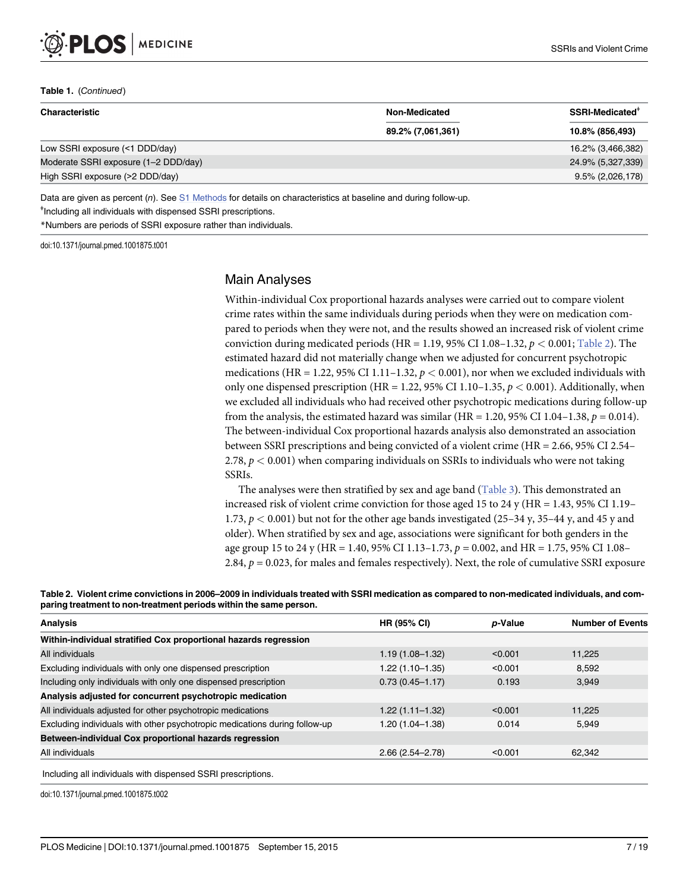#### <span id="page-6-0"></span>Table 1. (Continued)

| Characteristic                       | Non-Medicated     | SSRI-Medicated <sup>+</sup> |
|--------------------------------------|-------------------|-----------------------------|
|                                      | 89.2% (7,061,361) | 10.8% (856,493)             |
| Low SSRI exposure (<1 DDD/day)       |                   | 16.2% (3,466,382)           |
| Moderate SSRI exposure (1-2 DDD/day) |                   | 24.9% (5,327,339)           |
| High SSRI exposure (>2 DDD/day)      |                   | 9.5% (2,026,178)            |

Data are given as percent (n). See [S1 Methods](#page-13-0) for details on characteristics at baseline and during follow-up. ǂ Including all individuals with dispensed SSRI prescriptions.

\*Numbers are periods of SSRI exposure rather than individuals.

doi:10.1371/journal.pmed.1001875.t001

#### Main Analyses

Within-individual Cox proportional hazards analyses were carried out to compare violent crime rates within the same individuals during periods when they were on medication compared to periods when they were not, and the results showed an increased risk of violent crime conviction during medicated periods (HR = 1.19, 95% CI 1.08–1.32,  $p < 0.001$ ; Table 2). The estimated hazard did not materially change when we adjusted for concurrent psychotropic medications (HR = 1.22, 95% CI 1.11–1.32,  $p < 0.001$ ), nor when we excluded individuals with only one dispensed prescription (HR = 1.22, 95% CI 1.10–1.35,  $p < 0.001$ ). Additionally, when we excluded all individuals who had received other psychotropic medications during follow-up from the analysis, the estimated hazard was similar (HR = 1.20, 95% CI 1.04–1.38,  $p = 0.014$ ). The between-individual Cox proportional hazards analysis also demonstrated an association between SSRI prescriptions and being convicted of a violent crime (HR = 2.66, 95% CI 2.54– 2.78,  $p < 0.001$ ) when comparing individuals on SSRIs to individuals who were not taking SSRIs.

The analyses were then stratified by sex and age band [\(Table 3](#page-7-0)). This demonstrated an increased risk of violent crime conviction for those aged 15 to 24 y ( $HR = 1.43$ , 95% CI 1.19– 1.73,  $p < 0.001$ ) but not for the other age bands investigated (25–34 y, 35–44 y, and 45 y and older). When stratified by sex and age, associations were significant for both genders in the age group 15 to 24 y (HR = 1.40, 95% CI 1.13–1.73,  $p = 0.002$ , and HR = 1.75, 95% CI 1.08– 2.84,  $p = 0.023$ , for males and females respectively). Next, the role of cumulative SSRI exposure

| Table 2. Violent crime convictions in 2006–2009 in individuals treated with SSRI medication as compared to non-medicated individuals, and com- |  |
|------------------------------------------------------------------------------------------------------------------------------------------------|--|
| paring treatment to non-treatment periods within the same person.                                                                              |  |

| <b>Analysis</b>                                                            | <b>HR (95% CI)</b>  | p-Value | <b>Number of Events</b> |
|----------------------------------------------------------------------------|---------------------|---------|-------------------------|
| Within-individual stratified Cox proportional hazards regression           |                     |         |                         |
| All individuals                                                            | 1.19 (1.08-1.32)    | < 0.001 | 11.225                  |
| Excluding individuals with only one dispensed prescription                 | 1.22 (1.10–1.35)    | < 0.001 | 8,592                   |
| Including only individuals with only one dispensed prescription            | $0.73(0.45 - 1.17)$ | 0.193   | 3.949                   |
| Analysis adjusted for concurrent psychotropic medication                   |                     |         |                         |
| All individuals adjusted for other psychotropic medications                | 1.22 (1.11–1.32)    | < 0.001 | 11.225                  |
| Excluding individuals with other psychotropic medications during follow-up | 1.20 (1.04-1.38)    | 0.014   | 5,949                   |
| Between-individual Cox proportional hazards regression                     |                     |         |                         |
| All individuals                                                            | $2.66(2.54 - 2.78)$ | < 0.001 | 62,342                  |

Including all individuals with dispensed SSRI prescriptions.

doi:10.1371/journal.pmed.1001875.t002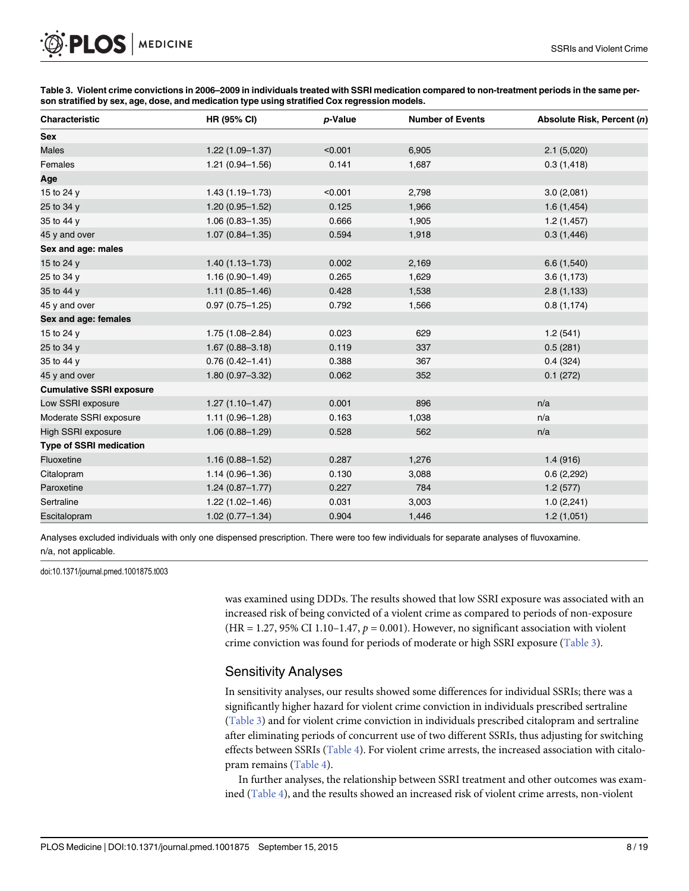| Characteristic                  | HR (95% CI)         | p-Value | <b>Number of Events</b> | Absolute Risk, Percent (n) |
|---------------------------------|---------------------|---------|-------------------------|----------------------------|
| <b>Sex</b>                      |                     |         |                         |                            |
| Males                           | $1.22(1.09 - 1.37)$ | < 0.001 | 6,905                   | 2.1(5,020)                 |
| Females                         | $1.21(0.94 - 1.56)$ | 0.141   | 1,687                   | 0.3(1,418)                 |
| Age                             |                     |         |                         |                            |
| 15 to 24 y                      | $1.43(1.19 - 1.73)$ | < 0.001 | 2,798                   | 3.0(2,081)                 |
| 25 to 34 y                      | $1.20(0.95 - 1.52)$ | 0.125   | 1,966                   | 1.6(1,454)                 |
| 35 to 44 y                      | $1.06(0.83 - 1.35)$ | 0.666   | 1,905                   | 1.2(1,457)                 |
| 45 y and over                   | $1.07(0.84 - 1.35)$ | 0.594   | 1,918                   | 0.3(1,446)                 |
| Sex and age: males              |                     |         |                         |                            |
| 15 to 24 y                      | $1.40(1.13 - 1.73)$ | 0.002   | 2,169                   | 6.6(1,540)                 |
| 25 to 34 y                      | $1.16(0.90 - 1.49)$ | 0.265   | 1,629                   | 3.6(1,173)                 |
| 35 to 44 y                      | $1.11(0.85 - 1.46)$ | 0.428   | 1,538                   | 2.8(1,133)                 |
| 45 y and over                   | $0.97(0.75 - 1.25)$ | 0.792   | 1,566                   | 0.8(1,174)                 |
| Sex and age: females            |                     |         |                         |                            |
| 15 to 24 y                      | 1.75 (1.08-2.84)    | 0.023   | 629                     | 1.2(541)                   |
| 25 to 34 y                      | $1.67(0.88 - 3.18)$ | 0.119   | 337                     | 0.5(281)                   |
| 35 to 44 y                      | $0.76(0.42 - 1.41)$ | 0.388   | 367                     | 0.4(324)                   |
| 45 y and over                   | $1.80(0.97 - 3.32)$ | 0.062   | 352                     | 0.1(272)                   |
| <b>Cumulative SSRI exposure</b> |                     |         |                         |                            |
| Low SSRI exposure               | $1.27(1.10 - 1.47)$ | 0.001   | 896                     | n/a                        |
| Moderate SSRI exposure          | $1.11(0.96 - 1.28)$ | 0.163   | 1,038                   | n/a                        |
| <b>High SSRI exposure</b>       | $1.06(0.88 - 1.29)$ | 0.528   | 562                     | n/a                        |
| <b>Type of SSRI medication</b>  |                     |         |                         |                            |
| Fluoxetine                      | $1.16(0.88 - 1.52)$ | 0.287   | 1,276                   | 1.4(916)                   |
| Citalopram                      | $1.14(0.96 - 1.36)$ | 0.130   | 3,088                   | 0.6(2,292)                 |
| Paroxetine                      | $1.24(0.87 - 1.77)$ | 0.227   | 784                     | 1.2(577)                   |
| Sertraline                      | $1.22(1.02 - 1.46)$ | 0.031   | 3,003                   | 1.0(2,241)                 |
| Escitalopram                    | $1.02(0.77 - 1.34)$ | 0.904   | 1,446                   | 1.2(1,051)                 |

<span id="page-7-0"></span>[Table 3.](#page-6-0) Violent crime convictions in 2006–2009 in individuals treated with SSRI medication compared to non-treatment periods in the same person stratified by sex, age, dose, and medication type using stratified Cox regression models.

Analyses excluded individuals with only one dispensed prescription. There were too few individuals for separate analyses of fluvoxamine. n/a, not applicable.

doi:10.1371/journal.pmed.1001875.t003

was examined using DDDs. The results showed that low SSRI exposure was associated with an increased risk of being convicted of a violent crime as compared to periods of non-exposure (HR = 1.27, 95% CI 1.10-1.47,  $p = 0.001$ ). However, no significant association with violent crime conviction was found for periods of moderate or high SSRI exposure (Table 3).

# Sensitivity Analyses

In sensitivity analyses, our results showed some differences for individual SSRIs; there was a significantly higher hazard for violent crime conviction in individuals prescribed sertraline (Table 3) and for violent crime conviction in individuals prescribed citalopram and sertraline after eliminating periods of concurrent use of two different SSRIs, thus adjusting for switching effects between SSRIs  $(Table 4)$ . For violent crime arrests, the increased association with citalopram remains [\(Table 4](#page-8-0)).

In further analyses, the relationship between SSRI treatment and other outcomes was examined [\(Table 4](#page-8-0)), and the results showed an increased risk of violent crime arrests, non-violent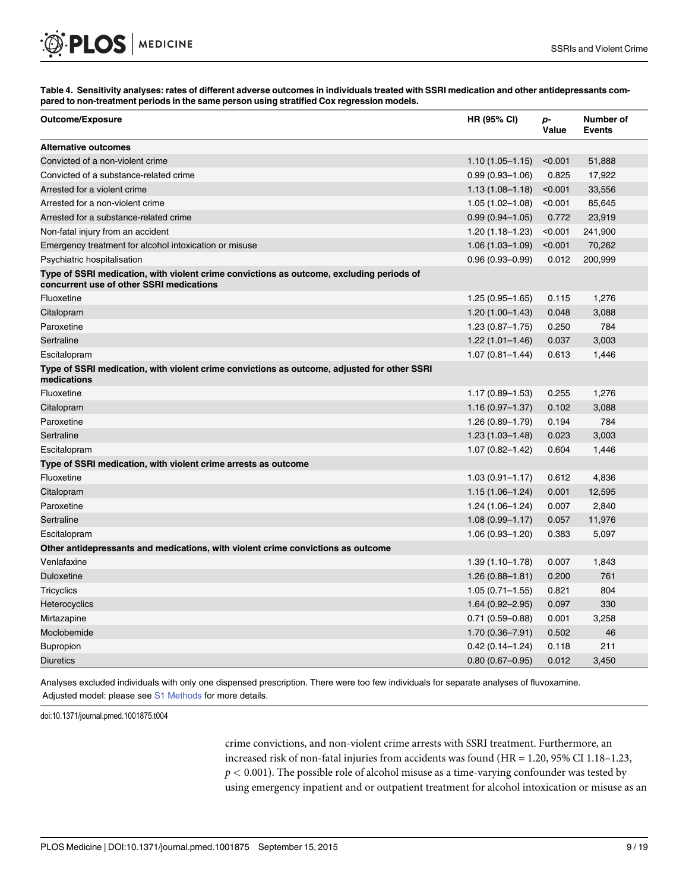[Table 4.](#page-7-0) Sensitivity analyses: rates of different adverse outcomes in individuals treated with SSRI medication and other antidepressants compared to non-treatment periods in the same person using stratified Cox regression models.

| <b>Outcome/Exposure</b>                                                                                                              | HR (95% CI)         | p-<br>Value | Number of<br><b>Events</b> |
|--------------------------------------------------------------------------------------------------------------------------------------|---------------------|-------------|----------------------------|
| <b>Alternative outcomes</b>                                                                                                          |                     |             |                            |
| Convicted of a non-violent crime                                                                                                     | $1.10(1.05 - 1.15)$ | < 0.001     | 51,888                     |
| Convicted of a substance-related crime                                                                                               | $0.99(0.93 - 1.06)$ | 0.825       | 17,922                     |
| Arrested for a violent crime                                                                                                         | $1.13(1.08 - 1.18)$ | < 0.001     | 33,556                     |
| Arrested for a non-violent crime                                                                                                     | $1.05(1.02 - 1.08)$ | < 0.001     | 85,645                     |
| Arrested for a substance-related crime                                                                                               | $0.99(0.94 - 1.05)$ | 0.772       | 23,919                     |
| Non-fatal injury from an accident                                                                                                    | $1.20(1.18 - 1.23)$ | < 0.001     | 241,900                    |
| Emergency treatment for alcohol intoxication or misuse                                                                               | $1.06(1.03 - 1.09)$ | < 0.001     | 70,262                     |
| Psychiatric hospitalisation                                                                                                          | $0.96(0.93 - 0.99)$ | 0.012       | 200,999                    |
| Type of SSRI medication, with violent crime convictions as outcome, excluding periods of<br>concurrent use of other SSRI medications |                     |             |                            |
| Fluoxetine                                                                                                                           | $1.25(0.95 - 1.65)$ | 0.115       | 1,276                      |
| Citalopram                                                                                                                           | $1.20(1.00-1.43)$   | 0.048       | 3,088                      |
| Paroxetine                                                                                                                           | $1.23(0.87 - 1.75)$ | 0.250       | 784                        |
| Sertraline                                                                                                                           | $1.22(1.01 - 1.46)$ | 0.037       | 3,003                      |
| Escitalopram                                                                                                                         | $1.07(0.81 - 1.44)$ | 0.613       | 1,446                      |
| Type of SSRI medication, with violent crime convictions as outcome, adjusted for other SSRI<br>medications                           |                     |             |                            |
| Fluoxetine                                                                                                                           | $1.17(0.89 - 1.53)$ | 0.255       | 1,276                      |
| Citalopram                                                                                                                           | $1.16(0.97 - 1.37)$ | 0.102       | 3,088                      |
| Paroxetine                                                                                                                           | $1.26(0.89 - 1.79)$ | 0.194       | 784                        |
| Sertraline                                                                                                                           | $1.23(1.03 - 1.48)$ | 0.023       | 3,003                      |
| Escitalopram                                                                                                                         | $1.07(0.82 - 1.42)$ | 0.604       | 1,446                      |
| Type of SSRI medication, with violent crime arrests as outcome                                                                       |                     |             |                            |
| Fluoxetine                                                                                                                           | $1.03(0.91 - 1.17)$ | 0.612       | 4,836                      |
| Citalopram                                                                                                                           | $1.15(1.06 - 1.24)$ | 0.001       | 12,595                     |
| Paroxetine                                                                                                                           | 1.24 (1.06-1.24)    | 0.007       | 2,840                      |
| Sertraline                                                                                                                           | $1.08(0.99 - 1.17)$ | 0.057       | 11,976                     |
| Escitalopram                                                                                                                         | $1.06(0.93 - 1.20)$ | 0.383       | 5,097                      |
| Other antidepressants and medications, with violent crime convictions as outcome                                                     |                     |             |                            |
| Venlafaxine                                                                                                                          | $1.39(1.10 - 1.78)$ | 0.007       | 1,843                      |
| <b>Duloxetine</b>                                                                                                                    | $1.26(0.88 - 1.81)$ | 0.200       | 761                        |
| <b>Tricyclics</b>                                                                                                                    | $1.05(0.71 - 1.55)$ | 0.821       | 804                        |
| Heterocyclics                                                                                                                        | $1.64(0.92 - 2.95)$ | 0.097       | 330                        |
| Mirtazapine                                                                                                                          | $0.71(0.59 - 0.88)$ | 0.001       | 3,258                      |
| Moclobemide                                                                                                                          | $1.70(0.36 - 7.91)$ | 0.502       | 46                         |
| <b>Bupropion</b>                                                                                                                     | $0.42(0.14 - 1.24)$ | 0.118       | 211                        |
| <b>Diuretics</b>                                                                                                                     | $0.80(0.67 - 0.95)$ | 0.012       | 3,450                      |

Analyses excluded individuals with only one dispensed prescription. There were too few individuals for separate analyses of fluvoxamine. Adjusted model: please see [S1 Methods](#page-13-0) for more details.

doi:10.1371/journal.pmed.1001875.t004

<span id="page-8-0"></span>**PLOS** | MEDICINE

crime convictions, and non-violent crime arrests with SSRI treatment. Furthermore, an increased risk of non-fatal injuries from accidents was found (HR = 1.20, 95% CI 1.18–1.23,  $p < 0.001$ ). The possible role of alcohol misuse as a time-varying confounder was tested by using emergency inpatient and or outpatient treatment for alcohol intoxication or misuse as an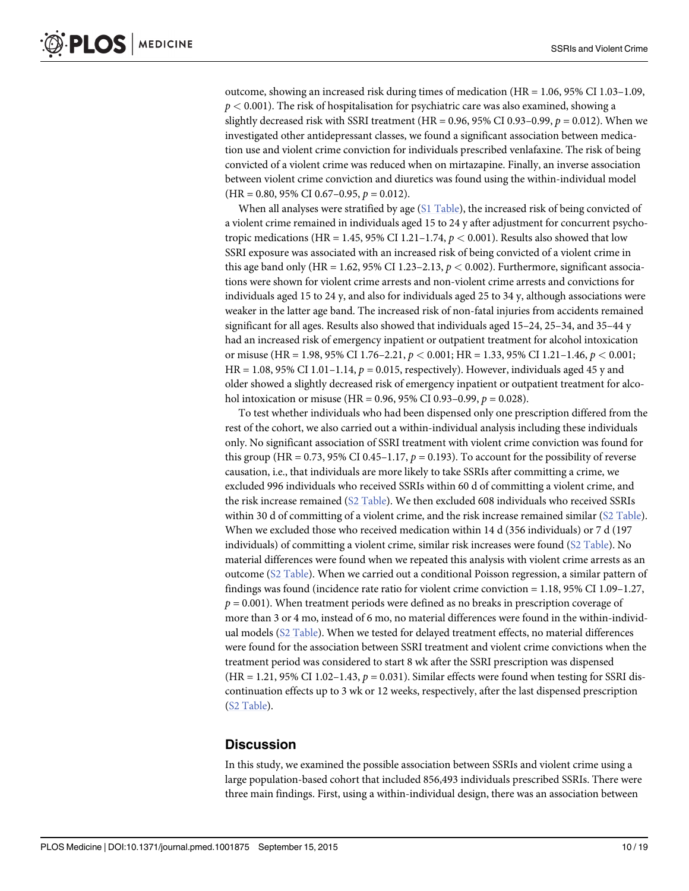outcome, showing an increased risk during times of medication (HR = 1.06, 95% CI 1.03–1.09,  $p < 0.001$ ). The risk of hospitalisation for psychiatric care was also examined, showing a slightly decreased risk with SSRI treatment (HR = 0.96, 95% CI 0.93–0.99,  $p = 0.012$ ). When we investigated other antidepressant classes, we found a significant association between medication use and violent crime conviction for individuals prescribed venlafaxine. The risk of being convicted of a violent crime was reduced when on mirtazapine. Finally, an inverse association between violent crime conviction and diuretics was found using the within-individual model  $(HR = 0.80, 95\% \text{ CI } 0.67-0.95, p = 0.012).$ 

When all analyses were stratified by age [\(S1 Table](#page-13-0)), the increased risk of being convicted of a violent crime remained in individuals aged 15 to 24 y after adjustment for concurrent psychotropic medications (HR = 1.45, 95% CI 1.21–1.74,  $p < 0.001$ ). Results also showed that low SSRI exposure was associated with an increased risk of being convicted of a violent crime in this age band only (HR = 1.62, 95% CI 1.23–2.13,  $p < 0.002$ ). Furthermore, significant associations were shown for violent crime arrests and non-violent crime arrests and convictions for individuals aged 15 to 24 y, and also for individuals aged 25 to 34 y, although associations were weaker in the latter age band. The increased risk of non-fatal injuries from accidents remained significant for all ages. Results also showed that individuals aged 15–24, 25–34, and 35–44 y had an increased risk of emergency inpatient or outpatient treatment for alcohol intoxication or misuse (HR = 1.98, 95% CI 1.76–2.21,  $p < 0.001$ ; HR = 1.33, 95% CI 1.21–1.46,  $p < 0.001$ ;  $HR = 1.08, 95\% \text{ CI } 1.01 - 1.14, p = 0.015$ , respectively). However, individuals aged 45 y and older showed a slightly decreased risk of emergency inpatient or outpatient treatment for alcohol intoxication or misuse (HR =  $0.96, 95\%$  CI 0.93–0.99,  $p = 0.028$ ).

To test whether individuals who had been dispensed only one prescription differed from the rest of the cohort, we also carried out a within-individual analysis including these individuals only. No significant association of SSRI treatment with violent crime conviction was found for this group (HR = 0.73, 95% CI 0.45–1.17,  $p = 0.193$ ). To account for the possibility of reverse causation, i.e., that individuals are more likely to take SSRIs after committing a crime, we excluded 996 individuals who received SSRIs within 60 d of committing a violent crime, and the risk increase remained ([S2 Table](#page-13-0)). We then excluded 608 individuals who received SSRIs within 30 d of committing of a violent crime, and the risk increase remained similar [\(S2 Table\)](#page-13-0). When we excluded those who received medication within 14 d (356 individuals) or 7 d (197 individuals) of committing a violent crime, similar risk increases were found  $(S2$  Table). No material differences were found when we repeated this analysis with violent crime arrests as an outcome [\(S2 Table](#page-13-0)). When we carried out a conditional Poisson regression, a similar pattern of findings was found (incidence rate ratio for violent crime conviction = 1.18, 95% CI 1.09–1.27,  $p = 0.001$ ). When treatment periods were defined as no breaks in prescription coverage of more than 3 or 4 mo, instead of 6 mo, no material differences were found in the within-individual models ([S2 Table\)](#page-13-0). When we tested for delayed treatment effects, no material differences were found for the association between SSRI treatment and violent crime convictions when the treatment period was considered to start 8 wk after the SSRI prescription was dispensed  $(HR = 1.21, 95\% \text{ CI } 1.02 - 1.43, p = 0.031)$ . Similar effects were found when testing for SSRI discontinuation effects up to 3 wk or 12 weeks, respectively, after the last dispensed prescription [\(S2 Table](#page-13-0)).

# **Discussion**

In this study, we examined the possible association between SSRIs and violent crime using a large population-based cohort that included 856,493 individuals prescribed SSRIs. There were three main findings. First, using a within-individual design, there was an association between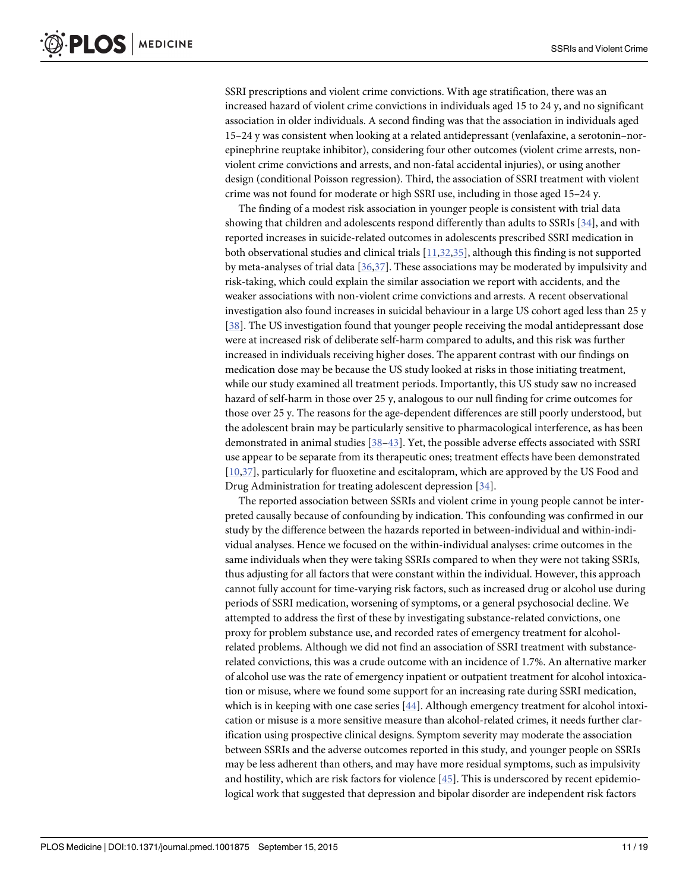<span id="page-10-0"></span>SSRI prescriptions and violent crime convictions. With age stratification, there was an increased hazard of violent crime convictions in individuals aged 15 to 24 y, and no significant association in older individuals. A second finding was that the association in individuals aged 15–24 y was consistent when looking at a related antidepressant (venlafaxine, a serotonin–norepinephrine reuptake inhibitor), considering four other outcomes (violent crime arrests, nonviolent crime convictions and arrests, and non-fatal accidental injuries), or using another design (conditional Poisson regression). Third, the association of SSRI treatment with violent crime was not found for moderate or high SSRI use, including in those aged 15–24 y.

The finding of a modest risk association in younger people is consistent with trial data showing that children and adolescents respond differently than adults to SSRIs [\[34\]](#page-15-0), and with reported increases in suicide-related outcomes in adolescents prescribed SSRI medication in both observational studies and clinical trials [\[11,](#page-14-0)[32](#page-15-0),[35](#page-15-0)], although this finding is not supported by meta-analyses of trial data [\[36,37](#page-15-0)]. These associations may be moderated by impulsivity and risk-taking, which could explain the similar association we report with accidents, and the weaker associations with non-violent crime convictions and arrests. A recent observational investigation also found increases in suicidal behaviour in a large US cohort aged less than 25 y [\[38](#page-15-0)]. The US investigation found that younger people receiving the modal antidepressant dose were at increased risk of deliberate self-harm compared to adults, and this risk was further increased in individuals receiving higher doses. The apparent contrast with our findings on medication dose may be because the US study looked at risks in those initiating treatment, while our study examined all treatment periods. Importantly, this US study saw no increased hazard of self-harm in those over 25 y, analogous to our null finding for crime outcomes for those over 25 y. The reasons for the age-dependent differences are still poorly understood, but the adolescent brain may be particularly sensitive to pharmacological interference, as has been demonstrated in animal studies [\[38](#page-15-0)–[43\]](#page-15-0). Yet, the possible adverse effects associated with SSRI use appear to be separate from its therapeutic ones; treatment effects have been demonstrated [\[10](#page-14-0)[,37\]](#page-15-0), particularly for fluoxetine and escitalopram, which are approved by the US Food and Drug Administration for treating adolescent depression [[34\]](#page-15-0).

The reported association between SSRIs and violent crime in young people cannot be interpreted causally because of confounding by indication. This confounding was confirmed in our study by the difference between the hazards reported in between-individual and within-individual analyses. Hence we focused on the within-individual analyses: crime outcomes in the same individuals when they were taking SSRIs compared to when they were not taking SSRIs, thus adjusting for all factors that were constant within the individual. However, this approach cannot fully account for time-varying risk factors, such as increased drug or alcohol use during periods of SSRI medication, worsening of symptoms, or a general psychosocial decline. We attempted to address the first of these by investigating substance-related convictions, one proxy for problem substance use, and recorded rates of emergency treatment for alcoholrelated problems. Although we did not find an association of SSRI treatment with substancerelated convictions, this was a crude outcome with an incidence of 1.7%. An alternative marker of alcohol use was the rate of emergency inpatient or outpatient treatment for alcohol intoxication or misuse, where we found some support for an increasing rate during SSRI medication, which is in keeping with one case series [[44](#page-15-0)]. Although emergency treatment for alcohol intoxication or misuse is a more sensitive measure than alcohol-related crimes, it needs further clarification using prospective clinical designs. Symptom severity may moderate the association between SSRIs and the adverse outcomes reported in this study, and younger people on SSRIs may be less adherent than others, and may have more residual symptoms, such as impulsivity and hostility, which are risk factors for violence [[45](#page-15-0)]. This is underscored by recent epidemiological work that suggested that depression and bipolar disorder are independent risk factors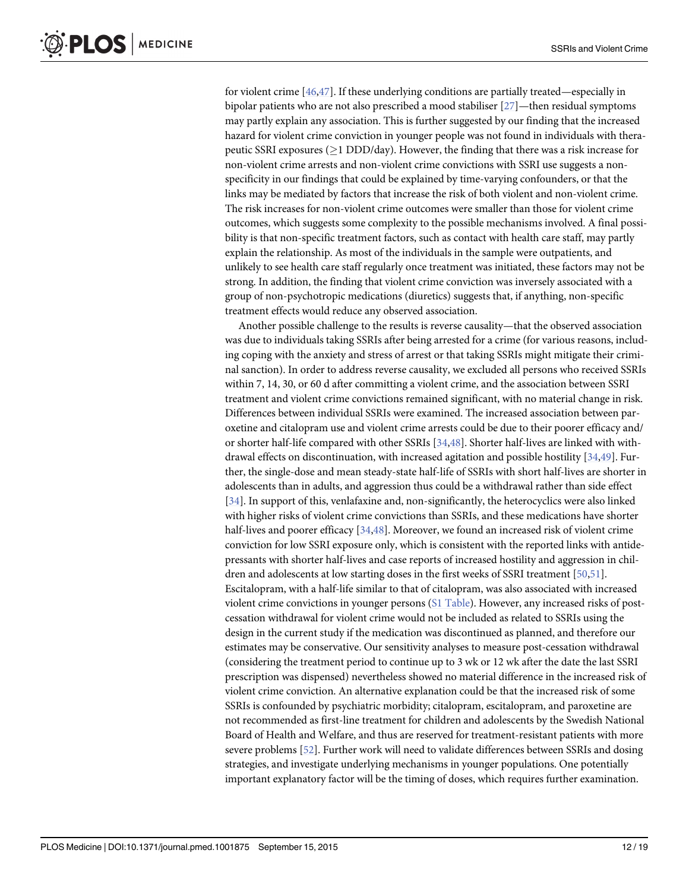<span id="page-11-0"></span>for violent crime [[46,47](#page-15-0)]. If these underlying conditions are partially treated—especially in bipolar patients who are not also prescribed a mood stabiliser  $[27]$ —then residual symptoms may partly explain any association. This is further suggested by our finding that the increased hazard for violent crime conviction in younger people was not found in individuals with therapeutic SSRI exposures ( $>1$  DDD/day). However, the finding that there was a risk increase for non-violent crime arrests and non-violent crime convictions with SSRI use suggests a nonspecificity in our findings that could be explained by time-varying confounders, or that the links may be mediated by factors that increase the risk of both violent and non-violent crime. The risk increases for non-violent crime outcomes were smaller than those for violent crime outcomes, which suggests some complexity to the possible mechanisms involved. A final possibility is that non-specific treatment factors, such as contact with health care staff, may partly explain the relationship. As most of the individuals in the sample were outpatients, and unlikely to see health care staff regularly once treatment was initiated, these factors may not be strong. In addition, the finding that violent crime conviction was inversely associated with a group of non-psychotropic medications (diuretics) suggests that, if anything, non-specific treatment effects would reduce any observed association.

Another possible challenge to the results is reverse causality—that the observed association was due to individuals taking SSRIs after being arrested for a crime (for various reasons, including coping with the anxiety and stress of arrest or that taking SSRIs might mitigate their criminal sanction). In order to address reverse causality, we excluded all persons who received SSRIs within 7, 14, 30, or 60 d after committing a violent crime, and the association between SSRI treatment and violent crime convictions remained significant, with no material change in risk. Differences between individual SSRIs were examined. The increased association between paroxetine and citalopram use and violent crime arrests could be due to their poorer efficacy and/ or shorter half-life compared with other SSRIs [\[34,48\]](#page-15-0). Shorter half-lives are linked with withdrawal effects on discontinuation, with increased agitation and possible hostility [\[34,49](#page-15-0)]. Further, the single-dose and mean steady-state half-life of SSRIs with short half-lives are shorter in adolescents than in adults, and aggression thus could be a withdrawal rather than side effect [\[34](#page-15-0)]. In support of this, venlafaxine and, non-significantly, the heterocyclics were also linked with higher risks of violent crime convictions than SSRIs, and these medications have shorter half-lives and poorer efficacy [\[34,48](#page-15-0)]. Moreover, we found an increased risk of violent crime conviction for low SSRI exposure only, which is consistent with the reported links with antidepressants with shorter half-lives and case reports of increased hostility and aggression in chil-dren and adolescents at low starting doses in the first weeks of SSRI treatment [[50,51\]](#page-16-0). Escitalopram, with a half-life similar to that of citalopram, was also associated with increased violent crime convictions in younger persons  $(S1$  Table). However, any increased risks of postcessation withdrawal for violent crime would not be included as related to SSRIs using the design in the current study if the medication was discontinued as planned, and therefore our estimates may be conservative. Our sensitivity analyses to measure post-cessation withdrawal (considering the treatment period to continue up to 3 wk or 12 wk after the date the last SSRI prescription was dispensed) nevertheless showed no material difference in the increased risk of violent crime conviction. An alternative explanation could be that the increased risk of some SSRIs is confounded by psychiatric morbidity; citalopram, escitalopram, and paroxetine are not recommended as first-line treatment for children and adolescents by the Swedish National Board of Health and Welfare, and thus are reserved for treatment-resistant patients with more severe problems [[52](#page-16-0)]. Further work will need to validate differences between SSRIs and dosing strategies, and investigate underlying mechanisms in younger populations. One potentially important explanatory factor will be the timing of doses, which requires further examination.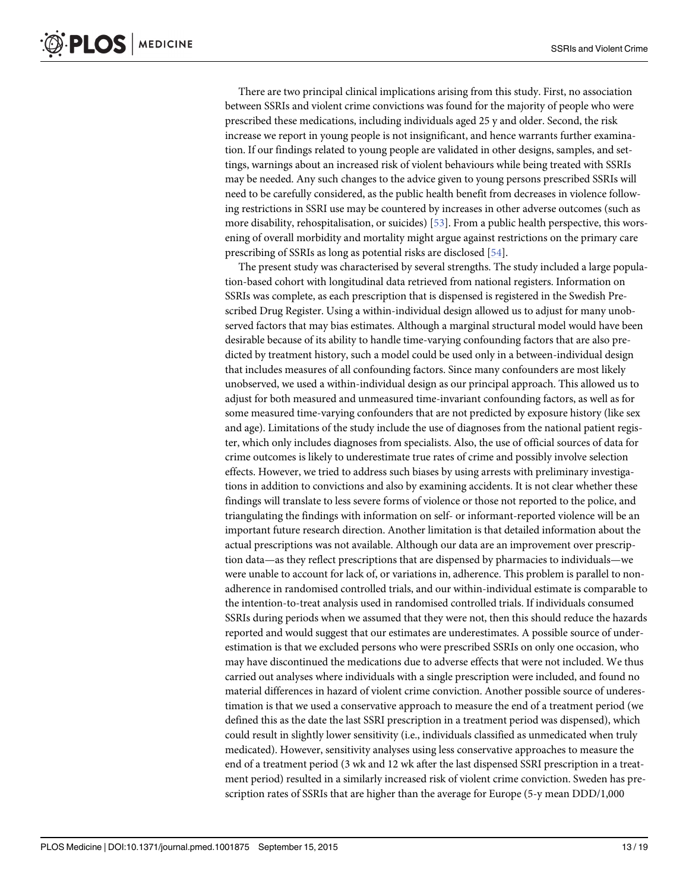<span id="page-12-0"></span>There are two principal clinical implications arising from this study. First, no association between SSRIs and violent crime convictions was found for the majority of people who were prescribed these medications, including individuals aged 25 y and older. Second, the risk increase we report in young people is not insignificant, and hence warrants further examination. If our findings related to young people are validated in other designs, samples, and settings, warnings about an increased risk of violent behaviours while being treated with SSRIs may be needed. Any such changes to the advice given to young persons prescribed SSRIs will need to be carefully considered, as the public health benefit from decreases in violence following restrictions in SSRI use may be countered by increases in other adverse outcomes (such as more disability, rehospitalisation, or suicides) [[53](#page-16-0)]. From a public health perspective, this worsening of overall morbidity and mortality might argue against restrictions on the primary care prescribing of SSRIs as long as potential risks are disclosed [\[54\]](#page-16-0).

The present study was characterised by several strengths. The study included a large population-based cohort with longitudinal data retrieved from national registers. Information on SSRIs was complete, as each prescription that is dispensed is registered in the Swedish Prescribed Drug Register. Using a within-individual design allowed us to adjust for many unobserved factors that may bias estimates. Although a marginal structural model would have been desirable because of its ability to handle time-varying confounding factors that are also predicted by treatment history, such a model could be used only in a between-individual design that includes measures of all confounding factors. Since many confounders are most likely unobserved, we used a within-individual design as our principal approach. This allowed us to adjust for both measured and unmeasured time-invariant confounding factors, as well as for some measured time-varying confounders that are not predicted by exposure history (like sex and age). Limitations of the study include the use of diagnoses from the national patient register, which only includes diagnoses from specialists. Also, the use of official sources of data for crime outcomes is likely to underestimate true rates of crime and possibly involve selection effects. However, we tried to address such biases by using arrests with preliminary investigations in addition to convictions and also by examining accidents. It is not clear whether these findings will translate to less severe forms of violence or those not reported to the police, and triangulating the findings with information on self- or informant-reported violence will be an important future research direction. Another limitation is that detailed information about the actual prescriptions was not available. Although our data are an improvement over prescription data—as they reflect prescriptions that are dispensed by pharmacies to individuals—we were unable to account for lack of, or variations in, adherence. This problem is parallel to nonadherence in randomised controlled trials, and our within-individual estimate is comparable to the intention-to-treat analysis used in randomised controlled trials. If individuals consumed SSRIs during periods when we assumed that they were not, then this should reduce the hazards reported and would suggest that our estimates are underestimates. A possible source of underestimation is that we excluded persons who were prescribed SSRIs on only one occasion, who may have discontinued the medications due to adverse effects that were not included. We thus carried out analyses where individuals with a single prescription were included, and found no material differences in hazard of violent crime conviction. Another possible source of underestimation is that we used a conservative approach to measure the end of a treatment period (we defined this as the date the last SSRI prescription in a treatment period was dispensed), which could result in slightly lower sensitivity (i.e., individuals classified as unmedicated when truly medicated). However, sensitivity analyses using less conservative approaches to measure the end of a treatment period (3 wk and 12 wk after the last dispensed SSRI prescription in a treatment period) resulted in a similarly increased risk of violent crime conviction. Sweden has prescription rates of SSRIs that are higher than the average for Europe (5-y mean DDD/1,000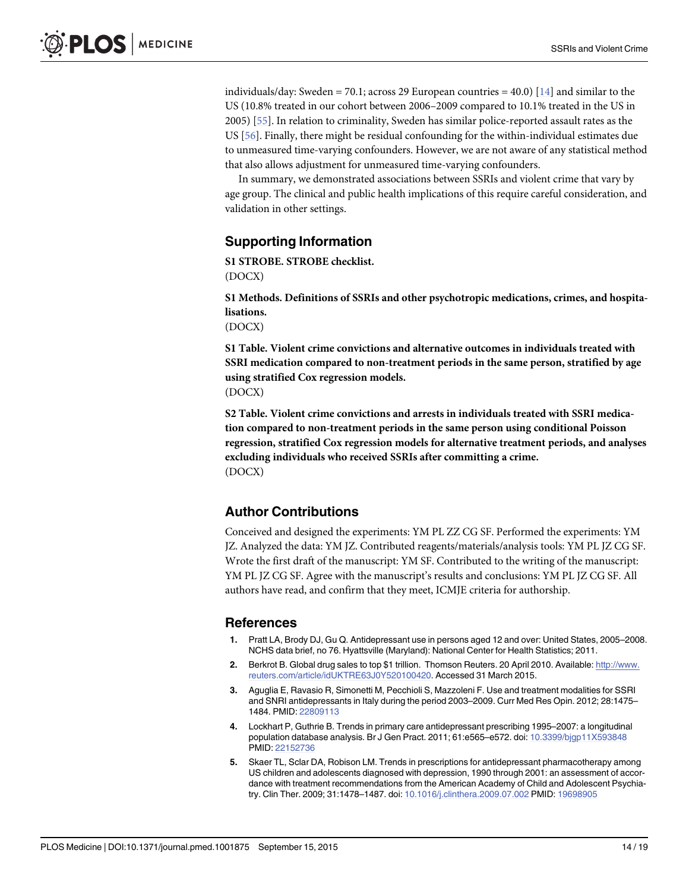<span id="page-13-0"></span>individuals/day: Sweden = 70.1; across 29 European countries =  $40.0$ ) [\[14](#page-14-0)] and similar to the US (10.8% treated in our cohort between 2006–2009 compared to 10.1% treated in the US in 2005) [\[55\]](#page-16-0). In relation to criminality, Sweden has similar police-reported assault rates as the US [[56](#page-16-0)]. Finally, there might be residual confounding for the within-individual estimates due to unmeasured time-varying confounders. However, we are not aware of any statistical method that also allows adjustment for unmeasured time-varying confounders.

In summary, we demonstrated associations between SSRIs and violent crime that vary by age group. The clinical and public health implications of this require careful consideration, and validation in other settings.

# Supporting Information

[S1 STROBE.](http://www.plosone.org/article/fetchSingleRepresentation.action?uri=info:doi/10.1371/journal.pmed.1001875.s001) STROBE checklist.

(DOCX)

[S1 Methods](http://www.plosone.org/article/fetchSingleRepresentation.action?uri=info:doi/10.1371/journal.pmed.1001875.s002). Definitions of SSRIs and other psychotropic medications, crimes, and hospitalisations.

(DOCX)

[S1 Table](http://www.plosone.org/article/fetchSingleRepresentation.action?uri=info:doi/10.1371/journal.pmed.1001875.s003). Violent crime convictions and alternative outcomes in individuals treated with SSRI medication compared to non-treatment periods in the same person, stratified by age using stratified Cox regression models. (DOCX)

[S2 Table](http://www.plosone.org/article/fetchSingleRepresentation.action?uri=info:doi/10.1371/journal.pmed.1001875.s004). Violent crime convictions and arrests in individuals treated with SSRI medication compared to non-treatment periods in the same person using conditional Poisson regression, stratified Cox regression models for alternative treatment periods, and analyses excluding individuals who received SSRIs after committing a crime. (DOCX)

# Author Contributions

Conceived and designed the experiments: YM PL ZZ CG SF. Performed the experiments: YM JZ. Analyzed the data: YM JZ. Contributed reagents/materials/analysis tools: YM PL JZ CG SF. Wrote the first draft of the manuscript: YM SF. Contributed to the writing of the manuscript: YM PL JZ CG SF. Agree with the manuscript's results and conclusions: YM PL JZ CG SF. All authors have read, and confirm that they meet, ICMJE criteria for authorship.

## References

- [1.](#page-1-0) Pratt LA, Brody DJ, Gu Q. Antidepressant use in persons aged 12 and over: United States, 2005–2008. NCHS data brief, no 76. Hyattsville (Maryland): National Center for Health Statistics; 2011.
- 2. Berkrot B. Global drug sales to top \$1 trillion. Thomson Reuters. 20 April 2010. Available: [http://www.](http://www.reuters.com/article/idUKTRE63J0Y520100420) [reuters.com/article/idUKTRE63J0Y520100420](http://www.reuters.com/article/idUKTRE63J0Y520100420). Accessed 31 March 2015.
- 3. Aguglia E, Ravasio R, Simonetti M, Pecchioli S, Mazzoleni F. Use and treatment modalities for SSRI and SNRI antidepressants in Italy during the period 2003–2009. Curr Med Res Opin. 2012; 28:1475– 1484. PMID: [22809113](http://www.ncbi.nlm.nih.gov/pubmed/22809113)
- 4. Lockhart P, Guthrie B. Trends in primary care antidepressant prescribing 1995–2007: a longitudinal population database analysis. Br J Gen Pract. 2011; 61:e565–e572. doi: [10.3399/bjgp11X593848](http://dx.doi.org/10.3399/bjgp11X593848) PMID: [22152736](http://www.ncbi.nlm.nih.gov/pubmed/22152736)
- 5. Skaer TL, Sclar DA, Robison LM. Trends in prescriptions for antidepressant pharmacotherapy among US children and adolescents diagnosed with depression, 1990 through 2001: an assessment of accordance with treatment recommendations from the American Academy of Child and Adolescent Psychiatry. Clin Ther. 2009; 31:1478–1487. doi: [10.1016/j.clinthera.2009.07.002](http://dx.doi.org/10.1016/j.clinthera.2009.07.002) PMID: [19698905](http://www.ncbi.nlm.nih.gov/pubmed/19698905)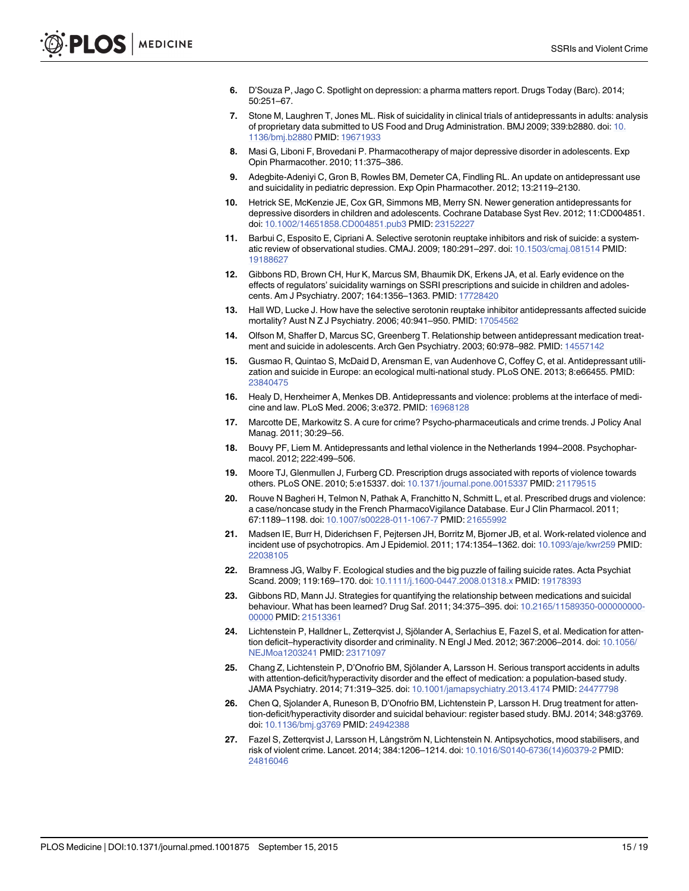- <span id="page-14-0"></span>[6.](#page-1-0) D'Souza P, Jago C. Spotlight on depression: a pharma matters report. Drugs Today (Barc). 2014; 50:251–67.
- [7.](#page-1-0) Stone M, Laughren T, Jones ML. Risk of suicidality in clinical trials of antidepressants in adults: analysis of proprietary data submitted to US Food and Drug Administration. BMJ 2009; 339:b2880. doi: [10.](http://dx.doi.org/10.1136/bmj.b2880) [1136/bmj.b2880](http://dx.doi.org/10.1136/bmj.b2880) PMID: [19671933](http://www.ncbi.nlm.nih.gov/pubmed/19671933)
- 8. Masi G, Liboni F, Brovedani P. Pharmacotherapy of major depressive disorder in adolescents. Exp Opin Pharmacother. 2010; 11:375–386.
- 9. Adegbite-Adeniyi C, Gron B, Rowles BM, Demeter CA, Findling RL. An update on antidepressant use and suicidality in pediatric depression. Exp Opin Pharmacother. 2012; 13:2119–2130.
- [10.](#page-10-0) Hetrick SE, McKenzie JE, Cox GR, Simmons MB, Merry SN. Newer generation antidepressants for depressive disorders in children and adolescents. Cochrane Database Syst Rev. 2012; 11:CD004851. doi: [10.1002/14651858.CD004851.pub3](http://dx.doi.org/10.1002/14651858.CD004851.pub3) PMID: [23152227](http://www.ncbi.nlm.nih.gov/pubmed/23152227)
- [11.](#page-1-0) Barbui C, Esposito E, Cipriani A. Selective serotonin reuptake inhibitors and risk of suicide: a systematic review of observational studies. CMAJ. 2009; 180:291–297. doi: [10.1503/cmaj.081514](http://dx.doi.org/10.1503/cmaj.081514) PMID: [19188627](http://www.ncbi.nlm.nih.gov/pubmed/19188627)
- [12.](#page-1-0) Gibbons RD, Brown CH, Hur K, Marcus SM, Bhaumik DK, Erkens JA, et al. Early evidence on the effects of regulators' suicidality warnings on SSRI prescriptions and suicide in children and adolescents. Am J Psychiatry. 2007; 164:1356–1363. PMID: [17728420](http://www.ncbi.nlm.nih.gov/pubmed/17728420)
- 13. Hall WD, Lucke J. How have the selective serotonin reuptake inhibitor antidepressants affected suicide mortality? Aust N Z J Psychiatry. 2006; 40:941–950. PMID: [17054562](http://www.ncbi.nlm.nih.gov/pubmed/17054562)
- [14.](#page-13-0) Olfson M, Shaffer D, Marcus SC, Greenberg T. Relationship between antidepressant medication treatment and suicide in adolescents. Arch Gen Psychiatry. 2003; 60:978–982. PMID: [14557142](http://www.ncbi.nlm.nih.gov/pubmed/14557142)
- [15.](#page-1-0) Gusmao R, Quintao S, McDaid D, Arensman E, van Audenhove C, Coffey C, et al. Antidepressant utilization and suicide in Europe: an ecological multi-national study. PLoS ONE. 2013; 8:e66455. PMID: [23840475](http://www.ncbi.nlm.nih.gov/pubmed/23840475)
- [16.](#page-1-0) Healy D, Herxheimer A, Menkes DB. Antidepressants and violence: problems at the interface of medicine and law. PLoS Med. 2006; 3:e372. PMID: [16968128](http://www.ncbi.nlm.nih.gov/pubmed/16968128)
- [17.](#page-1-0) Marcotte DE, Markowitz S. A cure for crime? Psycho-pharmaceuticals and crime trends. J Policy Anal Manag. 2011; 30:29–56.
- [18.](#page-1-0) Bouvy PF, Liem M. Antidepressants and lethal violence in the Netherlands 1994–2008. Psychopharmacol. 2012; 222:499–506.
- [19.](#page-1-0) Moore TJ, Glenmullen J, Furberg CD. Prescription drugs associated with reports of violence towards others. PLoS ONE. 2010; 5:e15337. doi: [10.1371/journal.pone.0015337](http://dx.doi.org/10.1371/journal.pone.0015337) PMID: [21179515](http://www.ncbi.nlm.nih.gov/pubmed/21179515)
- [20.](#page-1-0) Rouve N Bagheri H, Telmon N, Pathak A, Franchitto N, Schmitt L, et al. Prescribed drugs and violence: a case/noncase study in the French PharmacoVigilance Database. Eur J Clin Pharmacol. 2011; 67:1189–1198. doi: [10.1007/s00228-011-1067-7](http://dx.doi.org/10.1007/s00228-011-1067-7) PMID: [21655992](http://www.ncbi.nlm.nih.gov/pubmed/21655992)
- [21.](#page-1-0) Madsen IE, Burr H, Diderichsen F, Pejtersen JH, Borritz M, Bjorner JB, et al. Work-related violence and incident use of psychotropics. Am J Epidemiol. 2011; 174:1354–1362. doi: [10.1093/aje/kwr259](http://dx.doi.org/10.1093/aje/kwr259) PMID: [22038105](http://www.ncbi.nlm.nih.gov/pubmed/22038105)
- [22.](#page-1-0) Bramness JG, Walby F. Ecological studies and the big puzzle of failing suicide rates. Acta Psychiat Scand. 2009; 119:169–170. doi: [10.1111/j.1600-0447.2008.01318.x](http://dx.doi.org/10.1111/j.1600-0447.2008.01318.x) PMID: [19178393](http://www.ncbi.nlm.nih.gov/pubmed/19178393)
- [23.](#page-1-0) Gibbons RD, Mann JJ. Strategies for quantifying the relationship between medications and suicidal behaviour. What has been learned? Drug Saf. 2011; 34:375–395. doi: [10.2165/11589350-000000000-](http://dx.doi.org/10.2165/11589350-000000000-00000) [00000](http://dx.doi.org/10.2165/11589350-000000000-00000) PMID: [21513361](http://www.ncbi.nlm.nih.gov/pubmed/21513361)
- [24.](#page-1-0) Lichtenstein P, Halldner L, Zetterqvist J, Sjölander A, Serlachius E, Fazel S, et al. Medication for attention deficit–hyperactivity disorder and criminality. N Engl J Med. 2012; 367:2006–2014. doi: [10.1056/](http://dx.doi.org/10.1056/NEJMoa1203241) [NEJMoa1203241](http://dx.doi.org/10.1056/NEJMoa1203241) PMID: [23171097](http://www.ncbi.nlm.nih.gov/pubmed/23171097)
- 25. Chang Z, Lichtenstein P, D'Onofrio BM, Sjölander A, Larsson H. Serious transport accidents in adults with attention-deficit/hyperactivity disorder and the effect of medication: a population-based study. JAMA Psychiatry. 2014; 71:319–325. doi: [10.1001/jamapsychiatry.2013.4174](http://dx.doi.org/10.1001/jamapsychiatry.2013.4174) PMID: [24477798](http://www.ncbi.nlm.nih.gov/pubmed/24477798)
- 26. Chen Q, Sjolander A, Runeson B, D'Onofrio BM, Lichtenstein P, Larsson H. Drug treatment for attention-deficit/hyperactivity disorder and suicidal behaviour: register based study. BMJ. 2014; 348:g3769. doi: [10.1136/bmj.g3769](http://dx.doi.org/10.1136/bmj.g3769) PMID: [24942388](http://www.ncbi.nlm.nih.gov/pubmed/24942388)
- [27.](#page-1-0) Fazel S, Zettergvist J, Larsson H, Långström N, Lichtenstein N. Antipsychotics, mood stabilisers, and risk of violent crime. Lancet. 2014; 384:1206–1214. doi: [10.1016/S0140-6736\(14\)60379-2](http://dx.doi.org/10.1016/S0140-6736(14)60379-2) PMID: [24816046](http://www.ncbi.nlm.nih.gov/pubmed/24816046)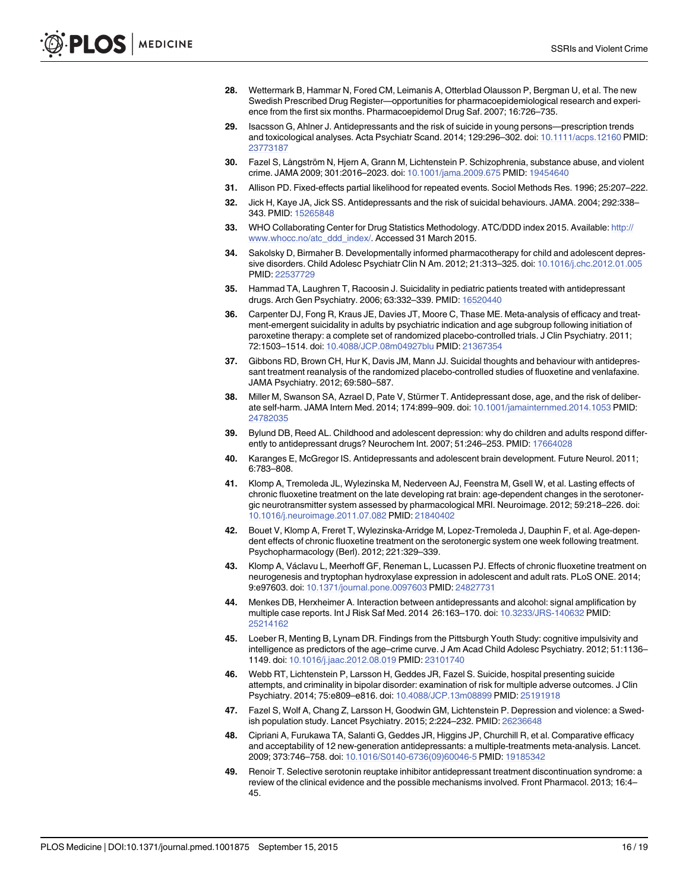- <span id="page-15-0"></span>[28.](#page-2-0) Wettermark B, Hammar N, Fored CM, Leimanis A, Otterblad Olausson P, Bergman U, et al. The new Swedish Prescribed Drug Register—opportunities for pharmacoepidemiological research and experience from the first six months. Pharmacoepidemol Drug Saf. 2007; 16:726–735.
- [29.](#page-2-0) Isacsson G, Ahlner J. Antidepressants and the risk of suicide in young persons—prescription trends and toxicological analyses. Acta Psychiatr Scand. 2014; 129:296–302. doi: [10.1111/acps.12160](http://dx.doi.org/10.1111/acps.12160) PMID: [23773187](http://www.ncbi.nlm.nih.gov/pubmed/23773187)
- [30.](#page-2-0) Fazel S, Långström N, Hjern A, Grann M, Lichtenstein P. Schizophrenia, substance abuse, and violent crime. JAMA 2009; 301:2016–2023. doi: [10.1001/jama.2009.675](http://dx.doi.org/10.1001/jama.2009.675) PMID: [19454640](http://www.ncbi.nlm.nih.gov/pubmed/19454640)
- [31.](#page-3-0) Allison PD. Fixed-effects partial likelihood for repeated events. Sociol Methods Res. 1996; 25:207–222.
- [32.](#page-3-0) Jick H, Kaye JA, Jick SS. Antidepressants and the risk of suicidal behaviours. JAMA. 2004; 292:338– 343. PMID: [15265848](http://www.ncbi.nlm.nih.gov/pubmed/15265848)
- [33.](#page-3-0) WHO Collaborating Center for Drug Statistics Methodology. ATC/DDD index 2015. Available: [http://](http://www.whocc.no/atc_ddd_index/) [www.whocc.no/atc\\_ddd\\_index/.](http://www.whocc.no/atc_ddd_index/) Accessed 31 March 2015.
- [34.](#page-10-0) Sakolsky D, Birmaher B. Developmentally informed pharmacotherapy for child and adolescent depressive disorders. Child Adolesc Psychiatr Clin N Am. 2012; 21:313–325. doi: [10.1016/j.chc.2012.01.005](http://dx.doi.org/10.1016/j.chc.2012.01.005) PMID: [22537729](http://www.ncbi.nlm.nih.gov/pubmed/22537729)
- [35.](#page-10-0) Hammad TA, Laughren T, Racoosin J. Suicidality in pediatric patients treated with antidepressant drugs. Arch Gen Psychiatry. 2006; 63:332–339. PMID: [16520440](http://www.ncbi.nlm.nih.gov/pubmed/16520440)
- [36.](#page-10-0) Carpenter DJ, Fong R, Kraus JE, Davies JT, Moore C, Thase ME. Meta-analysis of efficacy and treatment-emergent suicidality in adults by psychiatric indication and age subgroup following initiation of paroxetine therapy: a complete set of randomized placebo-controlled trials. J Clin Psychiatry. 2011; 72:1503–1514. doi: [10.4088/JCP.08m04927blu](http://dx.doi.org/10.4088/JCP.08m04927blu) PMID: [21367354](http://www.ncbi.nlm.nih.gov/pubmed/21367354)
- [37.](#page-10-0) Gibbons RD, Brown CH, Hur K, Davis JM, Mann JJ. Suicidal thoughts and behaviour with antidepressant treatment reanalysis of the randomized placebo-controlled studies of fluoxetine and venlafaxine. JAMA Psychiatry. 2012; 69:580–587.
- [38.](#page-10-0) Miller M, Swanson SA, Azrael D, Pate V, Stürmer T. Antidepressant dose, age, and the risk of deliberate self-harm. JAMA Intern Med. 2014; 174:899–909. doi: [10.1001/jamainternmed.2014.1053](http://dx.doi.org/10.1001/jamainternmed.2014.1053) PMID: [24782035](http://www.ncbi.nlm.nih.gov/pubmed/24782035)
- 39. Bylund DB, Reed AL. Childhood and adolescent depression: why do children and adults respond differ-ently to antidepressant drugs? Neurochem Int. 2007; 51:246-253. PMID: [17664028](http://www.ncbi.nlm.nih.gov/pubmed/17664028)
- 40. Karanges E, McGregor IS. Antidepressants and adolescent brain development. Future Neurol. 2011; 6:783–808.
- 41. Klomp A, Tremoleda JL, Wylezinska M, Nederveen AJ, Feenstra M, Gsell W, et al. Lasting effects of chronic fluoxetine treatment on the late developing rat brain: age-dependent changes in the serotonergic neurotransmitter system assessed by pharmacological MRI. Neuroimage. 2012; 59:218–226. doi: [10.1016/j.neuroimage.2011.07.082](http://dx.doi.org/10.1016/j.neuroimage.2011.07.082) PMID: [21840402](http://www.ncbi.nlm.nih.gov/pubmed/21840402)
- 42. Bouet V, Klomp A, Freret T, Wylezinska-Arridge M, Lopez-Tremoleda J, Dauphin F, et al. Age-dependent effects of chronic fluoxetine treatment on the serotonergic system one week following treatment. Psychopharmacology (Berl). 2012; 221:329–339.
- [43.](#page-10-0) Klomp A, Václavu L, Meerhoff GF, Reneman L, Lucassen PJ. Effects of chronic fluoxetine treatment on neurogenesis and tryptophan hydroxylase expression in adolescent and adult rats. PLoS ONE. 2014; 9:e97603. doi: [10.1371/journal.pone.0097603](http://dx.doi.org/10.1371/journal.pone.0097603) PMID: [24827731](http://www.ncbi.nlm.nih.gov/pubmed/24827731)
- Menkes DB, Herxheimer A. Interaction between antidepressants and alcohol: signal amplification by multiple case reports. Int J Risk Saf Med. 2014 26:163–170. doi: [10.3233/JRS-140632](http://dx.doi.org/10.3233/JRS-140632) PMID: [25214162](http://www.ncbi.nlm.nih.gov/pubmed/25214162)
- [45.](#page-10-0) Loeber R, Menting B, Lynam DR. Findings from the Pittsburgh Youth Study: cognitive impulsivity and intelligence as predictors of the age–crime curve. J Am Acad Child Adolesc Psychiatry. 2012; 51:1136– 1149. doi: [10.1016/j.jaac.2012.08.019](http://dx.doi.org/10.1016/j.jaac.2012.08.019) PMID: [23101740](http://www.ncbi.nlm.nih.gov/pubmed/23101740)
- [46.](#page-11-0) Webb RT, Lichtenstein P, Larsson H, Geddes JR, Fazel S. Suicide, hospital presenting suicide attempts, and criminality in bipolar disorder: examination of risk for multiple adverse outcomes. J Clin Psychiatry. 2014; 75:e809–e816. doi: [10.4088/JCP.13m08899](http://dx.doi.org/10.4088/JCP.13m08899) PMID: [25191918](http://www.ncbi.nlm.nih.gov/pubmed/25191918)
- [47.](#page-11-0) Fazel S, Wolf A, Chang Z, Larsson H, Goodwin GM, Lichtenstein P. Depression and violence: a Swedish population study. Lancet Psychiatry. 2015; 2:224–232. PMID: [26236648](http://www.ncbi.nlm.nih.gov/pubmed/26236648)
- [48.](#page-11-0) Cipriani A, Furukawa TA, Salanti G, Geddes JR, Higgins JP, Churchill R, et al. Comparative efficacy and acceptability of 12 new-generation antidepressants: a multiple-treatments meta-analysis. Lancet. 2009; 373:746–758. doi: [10.1016/S0140-6736\(09\)60046-5](http://dx.doi.org/10.1016/S0140-6736(09)60046-5) PMID: [19185342](http://www.ncbi.nlm.nih.gov/pubmed/19185342)
- [49.](#page-11-0) Renoir T. Selective serotonin reuptake inhibitor antidepressant treatment discontinuation syndrome: a review of the clinical evidence and the possible mechanisms involved. Front Pharmacol. 2013; 16:4– 45.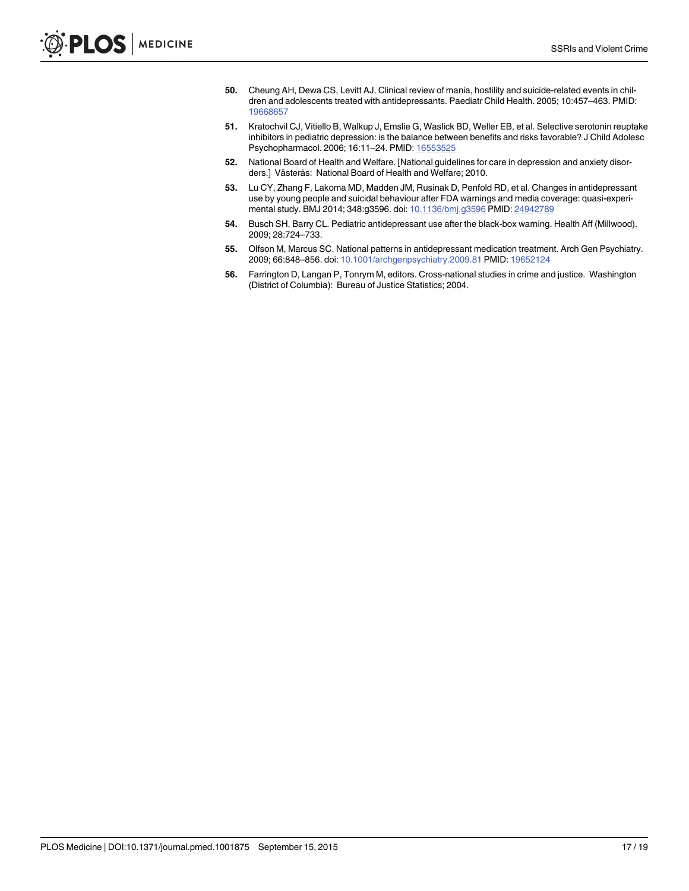- <span id="page-16-0"></span>[50.](#page-11-0) Cheung AH, Dewa CS, Levitt AJ. Clinical review of mania, hostility and suicide-related events in children and adolescents treated with antidepressants. Paediatr Child Health. 2005; 10:457–463. PMID: [19668657](http://www.ncbi.nlm.nih.gov/pubmed/19668657)
- [51.](#page-11-0) Kratochvil CJ, Vitiello B, Walkup J, Emslie G, Waslick BD, Weller EB, et al. Selective serotonin reuptake inhibitors in pediatric depression: is the balance between benefits and risks favorable? J Child Adolesc Psychopharmacol. 2006; 16:11–24. PMID: [16553525](http://www.ncbi.nlm.nih.gov/pubmed/16553525)
- [52.](#page-11-0) National Board of Health and Welfare. [National guidelines for care in depression and anxiety disorders.] Västerås: National Board of Health and Welfare; 2010.
- [53.](#page-12-0) Lu CY, Zhang F, Lakoma MD, Madden JM, Rusinak D, Penfold RD, et al. Changes in antidepressant use by young people and suicidal behaviour after FDA warnings and media coverage: quasi-experimental study. BMJ 2014; 348:g3596. doi: [10.1136/bmj.g3596](http://dx.doi.org/10.1136/bmj.g3596) PMID: [24942789](http://www.ncbi.nlm.nih.gov/pubmed/24942789)
- [54.](#page-12-0) Busch SH, Barry CL. Pediatric antidepressant use after the black-box warning. Health Aff (Millwood). 2009; 28:724–733.
- [55.](#page-13-0) Olfson M, Marcus SC. National patterns in antidepressant medication treatment. Arch Gen Psychiatry. 2009; 66:848–856. doi: [10.1001/archgenpsychiatry.2009.81](http://dx.doi.org/10.1001/archgenpsychiatry.2009.81) PMID: [19652124](http://www.ncbi.nlm.nih.gov/pubmed/19652124)
- [56.](#page-13-0) Farrington D, Langan P, Tonrym M, editors. Cross-national studies in crime and justice. Washington (District of Columbia): Bureau of Justice Statistics; 2004.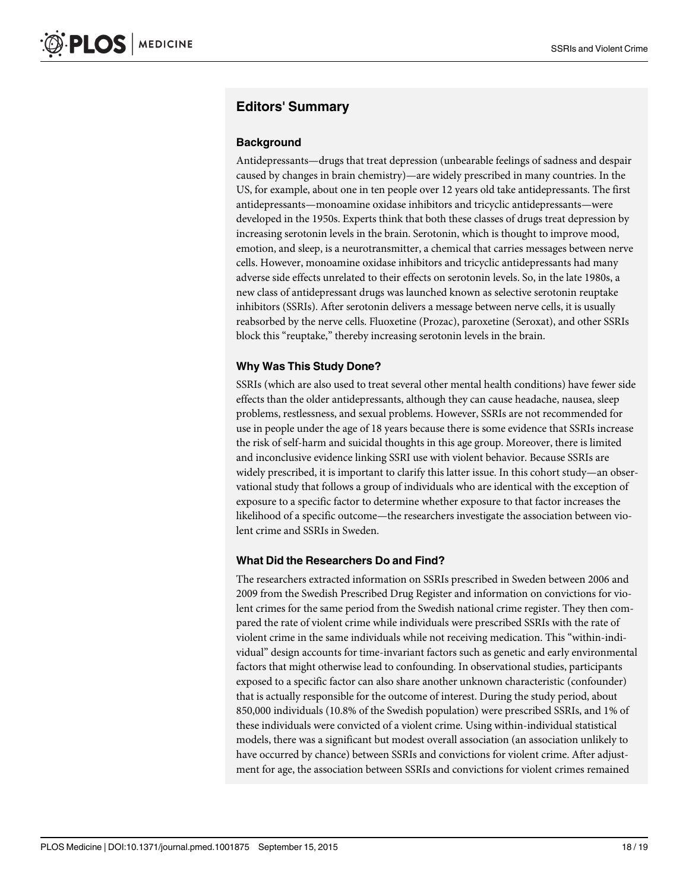## Editors' Summary

#### **Background**

Antidepressants—drugs that treat depression (unbearable feelings of sadness and despair caused by changes in brain chemistry)—are widely prescribed in many countries. In the US, for example, about one in ten people over 12 years old take antidepressants. The first antidepressants—monoamine oxidase inhibitors and tricyclic antidepressants—were developed in the 1950s. Experts think that both these classes of drugs treat depression by increasing serotonin levels in the brain. Serotonin, which is thought to improve mood, emotion, and sleep, is a neurotransmitter, a chemical that carries messages between nerve cells. However, monoamine oxidase inhibitors and tricyclic antidepressants had many adverse side effects unrelated to their effects on serotonin levels. So, in the late 1980s, a new class of antidepressant drugs was launched known as selective serotonin reuptake inhibitors (SSRIs). After serotonin delivers a message between nerve cells, it is usually reabsorbed by the nerve cells. Fluoxetine (Prozac), paroxetine (Seroxat), and other SSRIs block this "reuptake," thereby increasing serotonin levels in the brain.

#### Why Was This Study Done?

SSRIs (which are also used to treat several other mental health conditions) have fewer side effects than the older antidepressants, although they can cause headache, nausea, sleep problems, restlessness, and sexual problems. However, SSRIs are not recommended for use in people under the age of 18 years because there is some evidence that SSRIs increase the risk of self-harm and suicidal thoughts in this age group. Moreover, there is limited and inconclusive evidence linking SSRI use with violent behavior. Because SSRIs are widely prescribed, it is important to clarify this latter issue. In this cohort study—an observational study that follows a group of individuals who are identical with the exception of exposure to a specific factor to determine whether exposure to that factor increases the likelihood of a specific outcome—the researchers investigate the association between violent crime and SSRIs in Sweden.

#### What Did the Researchers Do and Find?

The researchers extracted information on SSRIs prescribed in Sweden between 2006 and 2009 from the Swedish Prescribed Drug Register and information on convictions for violent crimes for the same period from the Swedish national crime register. They then compared the rate of violent crime while individuals were prescribed SSRIs with the rate of violent crime in the same individuals while not receiving medication. This "within-individual" design accounts for time-invariant factors such as genetic and early environmental factors that might otherwise lead to confounding. In observational studies, participants exposed to a specific factor can also share another unknown characteristic (confounder) that is actually responsible for the outcome of interest. During the study period, about 850,000 individuals (10.8% of the Swedish population) were prescribed SSRIs, and 1% of these individuals were convicted of a violent crime. Using within-individual statistical models, there was a significant but modest overall association (an association unlikely to have occurred by chance) between SSRIs and convictions for violent crime. After adjustment for age, the association between SSRIs and convictions for violent crimes remained